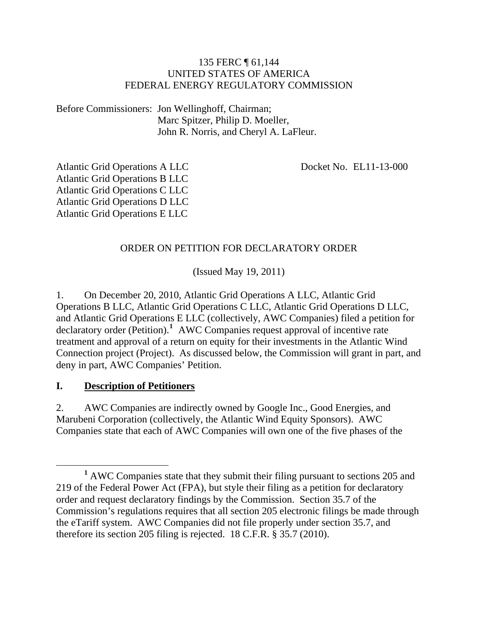#### 135 FERC ¶ 61,144 UNITED STATES OF AMERICA FEDERAL ENERGY REGULATORY COMMISSION

Before Commissioners: Jon Wellinghoff, Chairman; Marc Spitzer, Philip D. Moeller, John R. Norris, and Cheryl A. LaFleur.

Docket No. EL11-13-000

Atlantic Grid Operations A LLC Atlantic Grid Operations B LLC Atlantic Grid Operations C LLC Atlantic Grid Operations D LLC Atlantic Grid Operations E LLC

#### ORDER ON PETITION FOR DECLARATORY ORDER

(Issued May 19, 2011)

1. On December 20, 2010, Atlantic Grid Operations A LLC, Atlantic Grid Operations B LLC, Atlantic Grid Operations C LLC, Atlantic Grid Operations D LLC, and Atlantic Grid Operations E LLC (collectively, AWC Companies) filed a petition for declaratory order (Petition).<sup>[1](#page-0-0)</sup> AWC Companies request approval of incentive rate treatment and approval of a return on equity for their investments in the Atlantic Wind Connection project (Project). As discussed below, the Commission will grant in part, and deny in part, AWC Companies' Petition.

#### **I. Description of Petitioners**

2. AWC Companies are indirectly owned by Google Inc., Good Energies, and Marubeni Corporation (collectively, the Atlantic Wind Equity Sponsors). AWC Companies state that each of AWC Companies will own one of the five phases of the

<span id="page-0-0"></span><sup>&</sup>lt;u>1</u> <sup>1</sup> AWC Companies state that they submit their filing pursuant to sections 205 and 219 of the Federal Power Act (FPA), but style their filing as a petition for declaratory order and request declaratory findings by the Commission. Section 35.7 of the Commission's regulations requires that all section 205 electronic filings be made through the eTariff system. AWC Companies did not file properly under section 35.7, and therefore its section 205 filing is rejected. 18 C.F.R. § 35.7 (2010).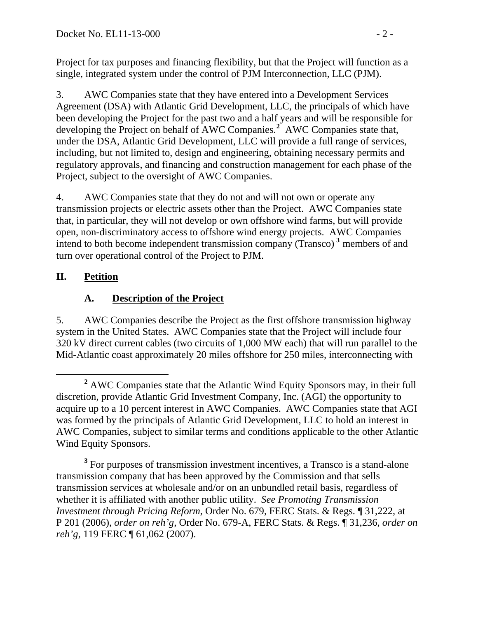Project for tax purposes and financing flexibility, but that the Project will function as a single, integrated system under the control of PJM Interconnection, LLC (PJM).

3. AWC Companies state that they have entered into a Development Services Agreement (DSA) with Atlantic Grid Development, LLC, the principals of which have been developing the Project for the past two and a half years and will be responsible for developing the Project on behalf of AWC Companies.**[2](#page-1-0)** AWC Companies state that, under the DSA, Atlantic Grid Development, LLC will provide a full range of services, including, but not limited to, design and engineering, obtaining necessary permits and regulatory approvals, and financing and construction management for each phase of the Project, subject to the oversight of AWC Companies.

4. AWC Companies state that they do not and will not own or operate any transmission projects or electric assets other than the Project. AWC Companies state that, in particular, they will not develop or own offshore wind farms, but will provide open, non-discriminatory access to offshore wind energy projects. AWC Companies intend to both become independent transmission company (Transco) **[3](#page-1-1)** members of and turn over operational control of the Project to PJM.

# **II. Petition**

# **A. Description of the Project**

5. AWC Companies describe the Project as the first offshore transmission highway system in the United States. AWC Companies state that the Project will include four 320 kV direct current cables (two circuits of 1,000 MW each) that will run parallel to the Mid-Atlantic coast approximately 20 miles offshore for 250 miles, interconnecting with

<span id="page-1-1"></span><sup>3</sup> For purposes of transmission investment incentives, a Transco is a stand-alone transmission company that has been approved by the Commission and that sells transmission services at wholesale and/or on an unbundled retail basis, regardless of whether it is affiliated with another public utility. *See Promoting Transmission Investment through Pricing Reform*, Order No. 679, FERC Stats. & Regs. ¶ 31,222, at P 201 (2006), *order on reh'g*, Order No. 679-A, FERC Stats. & Regs. ¶ 31,236, *order on reh'g*, 119 FERC ¶ 61,062 (2007).

<span id="page-1-0"></span>**<sup>2</sup>** <sup>2</sup> AWC Companies state that the Atlantic Wind Equity Sponsors may, in their full discretion, provide Atlantic Grid Investment Company, Inc. (AGI) the opportunity to acquire up to a 10 percent interest in AWC Companies. AWC Companies state that AGI was formed by the principals of Atlantic Grid Development, LLC to hold an interest in AWC Companies, subject to similar terms and conditions applicable to the other Atlantic Wind Equity Sponsors.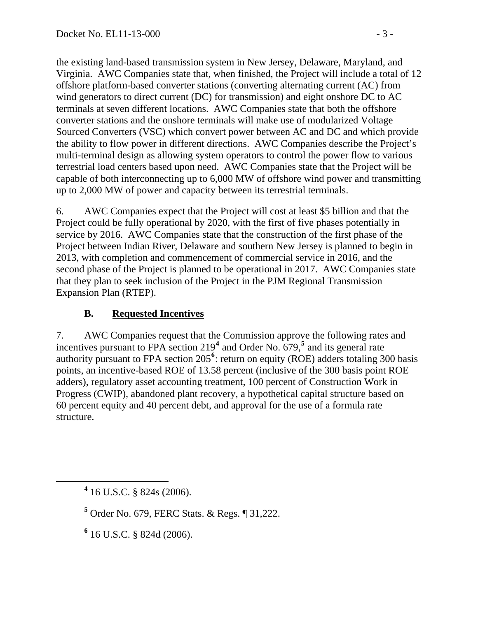the existing land-based transmission system in New Jersey, Delaware, Maryland, and Virginia. AWC Companies state that, when finished, the Project will include a total of 12 offshore platform-based converter stations (converting alternating current (AC) from wind generators to direct current (DC) for transmission) and eight onshore DC to AC terminals at seven different locations. AWC Companies state that both the offshore converter stations and the onshore terminals will make use of modularized Voltage Sourced Converters (VSC) which convert power between AC and DC and which provide the ability to flow power in different directions. AWC Companies describe the Project's multi-terminal design as allowing system operators to control the power flow to various terrestrial load centers based upon need. AWC Companies state that the Project will be capable of both interconnecting up to 6,000 MW of offshore wind power and transmitting up to 2,000 MW of power and capacity between its terrestrial terminals.

6. AWC Companies expect that the Project will cost at least \$5 billion and that the Project could be fully operational by 2020, with the first of five phases potentially in service by 2016. AWC Companies state that the construction of the first phase of the Project between Indian River, Delaware and southern New Jersey is planned to begin in 2013, with completion and commencement of commercial service in 2016, and the second phase of the Project is planned to be operational in 2017. AWC Companies state that they plan to seek inclusion of the Project in the PJM Regional Transmission Expansion Plan (RTEP).

# **B. Requested Incentives**

7. AWC Companies request that the Commission approve the following rates and incentives pursuant to FPA section 219**[4](#page-2-0)** and Order No. 679,**[5](#page-2-1)** and its general rate authority pursuant to FPA section 205<sup>[6](#page-2-2)</sup>: return on equity (ROE) adders totaling 300 basis points, an incentive-based ROE of 13.58 percent (inclusive of the 300 basis point ROE adders), regulatory asset accounting treatment, 100 percent of Construction Work in Progress (CWIP), abandoned plant recovery, a hypothetical capital structure based on 60 percent equity and 40 percent debt, and approval for the use of a formula rate structure.

**6** 16 U.S.C. § 824d (2006).

<span id="page-2-2"></span><span id="page-2-1"></span><span id="page-2-0"></span>**<sup>4</sup>** 16 U.S.C. § 824s (2006).

**<sup>5</sup>** Order No. 679, FERC Stats. & Regs. ¶ 31,222.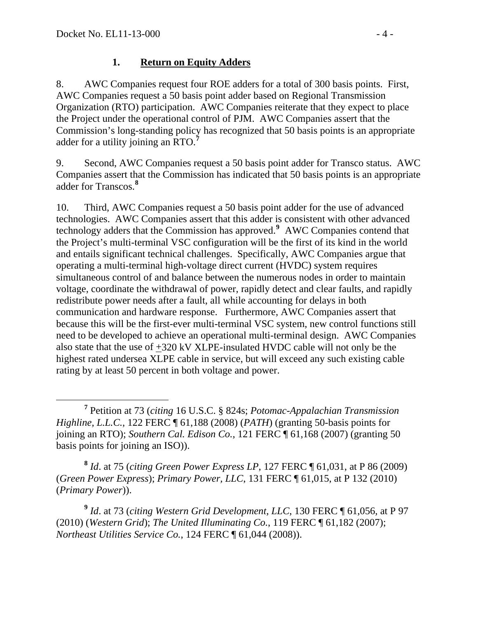### **1. Return on Equity Adders**

8. AWC Companies request four ROE adders for a total of 300 basis points. First, AWC Companies request a 50 basis point adder based on Regional Transmission Organization (RTO) participation. AWC Companies reiterate that they expect to place the Project under the operational control of PJM. AWC Companies assert that the Commission's long-standing policy has recognized that 50 basis points is an appropriate adder for a utility joining an RTO.**[7](#page-3-0)**

9. Second, AWC Companies request a 50 basis point adder for Transco status. AWC Companies assert that the Commission has indicated that 50 basis points is an appropriate adder for Transcos.**[8](#page-3-1)**

10. Third, AWC Companies request a 50 basis point adder for the use of advanced technologies. AWC Companies assert that this adder is consistent with other advanced technology adders that the Commission has approved.**[9](#page-3-2)** AWC Companies contend that the Project's multi-terminal VSC configuration will be the first of its kind in the world and entails significant technical challenges. Specifically, AWC Companies argue that operating a multi-terminal high-voltage direct current (HVDC) system requires simultaneous control of and balance between the numerous nodes in order to maintain voltage, coordinate the withdrawal of power, rapidly detect and clear faults, and rapidly redistribute power needs after a fault, all while accounting for delays in both communication and hardware response. Furthermore, AWC Companies assert that because this will be the first-ever multi-terminal VSC system, new control functions still need to be developed to achieve an operational multi-terminal design. AWC Companies also state that the use of +320 kV XLPE-insulated HVDC cable will not only be the highest rated undersea XLPE cable in service, but will exceed any such existing cable rating by at least 50 percent in both voltage and power.

<span id="page-3-1"></span>**<sup>8</sup>** *Id*. at 75 (*citing Green Power Express LP*, 127 FERC ¶ 61,031, at P 86 (2009) (*Green Power Express*); *Primary Power, LLC*, 131 FERC ¶ 61,015, at P 132 (2010) (*Primary Power*)).

<span id="page-3-2"></span>**<sup>9</sup>** *Id*. at 73 (*citing Western Grid Development, LLC*, 130 FERC ¶ 61,056, at P 97 (2010) (*Western Grid*); *The United Illuminating Co.*, 119 FERC ¶ 61,182 (2007); *Northeast Utilities Service Co.*, 124 FERC ¶ 61,044 (2008)).

<span id="page-3-0"></span>**<sup>7</sup>** Petition at 73 (*citing* 16 U.S.C. § 824s; *Potomac-Appalachian Transmission Highline, L.L.C.*, 122 FERC ¶ 61,188 (2008) (*PATH*) (granting 50-basis points for joining an RTO); *Southern Cal. Edison Co.*, 121 FERC ¶ 61,168 (2007) (granting 50 basis points for joining an ISO)).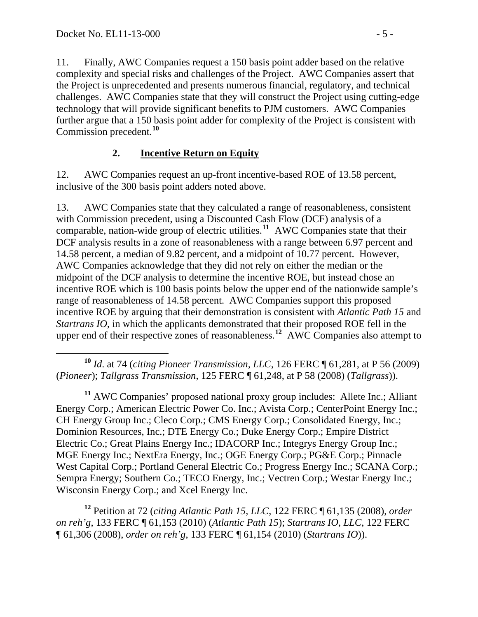11. Finally, AWC Companies request a 150 basis point adder based on the relative complexity and special risks and challenges of the Project. AWC Companies assert that the Project is unprecedented and presents numerous financial, regulatory, and technical challenges. AWC Companies state that they will construct the Project using cutting-edge technology that will provide significant benefits to PJM customers. AWC Companies further argue that a 150 basis point adder for complexity of the Project is consistent with Commission precedent.**[10](#page-4-0)**

## **2. Incentive Return on Equity**

12. AWC Companies request an up-front incentive-based ROE of 13.58 percent, inclusive of the 300 basis point adders noted above.

13. AWC Companies state that they calculated a range of reasonableness, consistent with Commission precedent, using a Discounted Cash Flow (DCF) analysis of a comparable, nation-wide group of electric utilities.**[11](#page-4-1)** AWC Companies state that their DCF analysis results in a zone of reasonableness with a range between 6.97 percent and 14.58 percent, a median of 9.82 percent, and a midpoint of 10.77 percent. However, AWC Companies acknowledge that they did not rely on either the median or the midpoint of the DCF analysis to determine the incentive ROE, but instead chose an incentive ROE which is 100 basis points below the upper end of the nationwide sample's range of reasonableness of 14.58 percent. AWC Companies support this proposed incentive ROE by arguing that their demonstration is consistent with *Atlantic Path 15* and *Startrans IO*, in which the applicants demonstrated that their proposed ROE fell in the upper end of their respective zones of reasonableness.<sup>[12](#page-4-2)</sup> AWC Companies also attempt to

<span id="page-4-1"></span>**<sup>11</sup>** AWC Companies' proposed national proxy group includes: Allete Inc.; Alliant Energy Corp.; American Electric Power Co. Inc.; Avista Corp.; CenterPoint Energy Inc.; CH Energy Group Inc.; Cleco Corp.; CMS Energy Corp.; Consolidated Energy, Inc.; Dominion Resources, Inc.; DTE Energy Co.; Duke Energy Corp.; Empire District Electric Co.; Great Plains Energy Inc.; IDACORP Inc.; Integrys Energy Group Inc.; MGE Energy Inc.; NextEra Energy, Inc.; OGE Energy Corp.; PG&E Corp.; Pinnacle West Capital Corp.; Portland General Electric Co.; Progress Energy Inc.; SCANA Corp.; Sempra Energy; Southern Co.; TECO Energy, Inc.; Vectren Corp.; Westar Energy Inc.; Wisconsin Energy Corp.; and Xcel Energy Inc.

<span id="page-4-2"></span>**<sup>12</sup>** Petition at 72 (*citing Atlantic Path 15, LLC*, 122 FERC ¶ 61,135 (2008), *order on reh'g*, 133 FERC ¶ 61,153 (2010) (*Atlantic Path 15*); *Startrans IO, LLC*, 122 FERC ¶ 61,306 (2008), *order on reh'g*, 133 FERC ¶ 61,154 (2010) (*Startrans IO*)).

<span id="page-4-0"></span>**<sup>10</sup>** *Id*. at 74 (*citing Pioneer Transmission, LLC*, 126 FERC ¶ 61,281, at P 56 (2009) (*Pioneer*); *Tallgrass Transmission*, 125 FERC ¶ 61,248, at P 58 (2008) (*Tallgrass*)).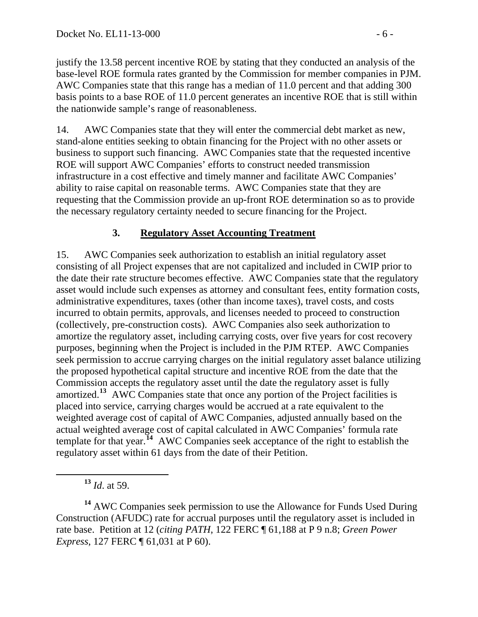justify the 13.58 percent incentive ROE by stating that they conducted an analysis of the base-level ROE formula rates granted by the Commission for member companies in PJM. AWC Companies state that this range has a median of 11.0 percent and that adding 300 basis points to a base ROE of 11.0 percent generates an incentive ROE that is still within the nationwide sample's range of reasonableness.

14. AWC Companies state that they will enter the commercial debt market as new, stand-alone entities seeking to obtain financing for the Project with no other assets or business to support such financing. AWC Companies state that the requested incentive ROE will support AWC Companies' efforts to construct needed transmission infrastructure in a cost effective and timely manner and facilitate AWC Companies' ability to raise capital on reasonable terms. AWC Companies state that they are requesting that the Commission provide an up-front ROE determination so as to provide the necessary regulatory certainty needed to secure financing for the Project.

## **3. Regulatory Asset Accounting Treatment**

15. AWC Companies seek authorization to establish an initial regulatory asset consisting of all Project expenses that are not capitalized and included in CWIP prior to the date their rate structure becomes effective. AWC Companies state that the regulatory asset would include such expenses as attorney and consultant fees, entity formation costs, administrative expenditures, taxes (other than income taxes), travel costs, and costs incurred to obtain permits, approvals, and licenses needed to proceed to construction (collectively, pre-construction costs). AWC Companies also seek authorization to amortize the regulatory asset, including carrying costs, over five years for cost recovery purposes, beginning when the Project is included in the PJM RTEP. AWC Companies seek permission to accrue carrying charges on the initial regulatory asset balance utilizing the proposed hypothetical capital structure and incentive ROE from the date that the Commission accepts the regulatory asset until the date the regulatory asset is fully amortized.**[13](#page-5-0)** AWC Companies state that once any portion of the Project facilities is placed into service, carrying charges would be accrued at a rate equivalent to the weighted average cost of capital of AWC Companies, adjusted annually based on the actual weighted average cost of capital calculated in AWC Companies' formula rate template for that year.**[14](#page-5-1)** AWC Companies seek acceptance of the right to establish the regulatory asset within 61 days from the date of their Petition.

**<sup>13</sup>** *Id*. at 59.

<span id="page-5-1"></span><span id="page-5-0"></span>**<sup>14</sup>** AWC Companies seek permission to use the Allowance for Funds Used During Construction (AFUDC) rate for accrual purposes until the regulatory asset is included in rate base. Petition at 12 (*citing PATH*, 122 FERC ¶ 61,188 at P 9 n.8; *Green Power Express*, 127 FERC ¶ 61,031 at P 60).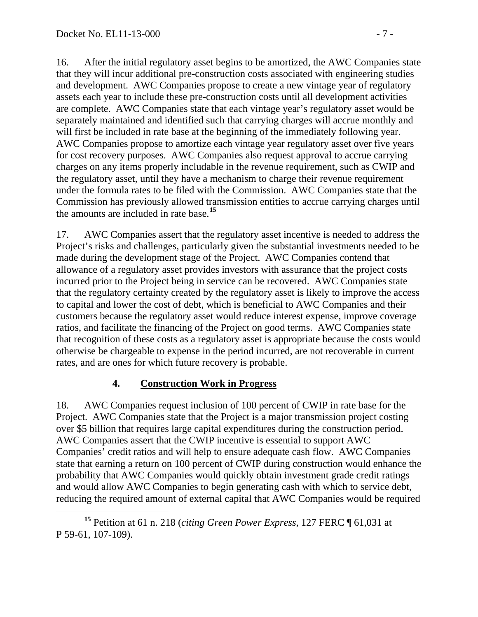16. After the initial regulatory asset begins to be amortized, the AWC Companies state that they will incur additional pre-construction costs associated with engineering studies and development. AWC Companies propose to create a new vintage year of regulatory assets each year to include these pre-construction costs until all development activities are complete. AWC Companies state that each vintage year's regulatory asset would be separately maintained and identified such that carrying charges will accrue monthly and will first be included in rate base at the beginning of the immediately following year. AWC Companies propose to amortize each vintage year regulatory asset over five years for cost recovery purposes. AWC Companies also request approval to accrue carrying charges on any items properly includable in the revenue requirement, such as CWIP and the regulatory asset, until they have a mechanism to charge their revenue requirement under the formula rates to be filed with the Commission. AWC Companies state that the Commission has previously allowed transmission entities to accrue carrying charges until the amounts are included in rate base.**[15](#page-6-0)**

17. AWC Companies assert that the regulatory asset incentive is needed to address the Project's risks and challenges, particularly given the substantial investments needed to be made during the development stage of the Project. AWC Companies contend that allowance of a regulatory asset provides investors with assurance that the project costs incurred prior to the Project being in service can be recovered. AWC Companies state that the regulatory certainty created by the regulatory asset is likely to improve the access to capital and lower the cost of debt, which is beneficial to AWC Companies and their customers because the regulatory asset would reduce interest expense, improve coverage ratios, and facilitate the financing of the Project on good terms. AWC Companies state that recognition of these costs as a regulatory asset is appropriate because the costs would otherwise be chargeable to expense in the period incurred, are not recoverable in current rates, and are ones for which future recovery is probable.

# **4. Construction Work in Progress**

18. AWC Companies request inclusion of 100 percent of CWIP in rate base for the Project. AWC Companies state that the Project is a major transmission project costing over \$5 billion that requires large capital expenditures during the construction period. AWC Companies assert that the CWIP incentive is essential to support AWC Companies' credit ratios and will help to ensure adequate cash flow. AWC Companies state that earning a return on 100 percent of CWIP during construction would enhance the probability that AWC Companies would quickly obtain investment grade credit ratings and would allow AWC Companies to begin generating cash with which to service debt, reducing the required amount of external capital that AWC Companies would be required

<span id="page-6-0"></span>**<sup>15</sup>** Petition at 61 n. 218 (*citing Green Power Express*, 127 FERC ¶ 61,031 at P 59-61, 107-109).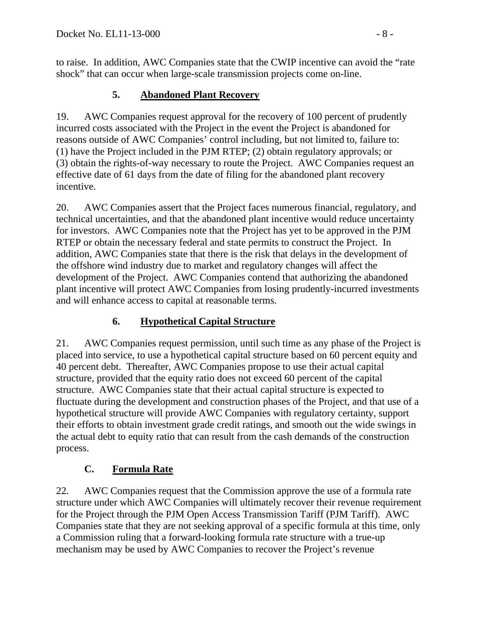to raise. In addition, AWC Companies state that the CWIP incentive can avoid the "rate shock" that can occur when large-scale transmission projects come on-line.

# **5. Abandoned Plant Recovery**

19. AWC Companies request approval for the recovery of 100 percent of prudently incurred costs associated with the Project in the event the Project is abandoned for reasons outside of AWC Companies' control including, but not limited to, failure to: (1) have the Project included in the PJM RTEP; (2) obtain regulatory approvals; or (3) obtain the rights-of-way necessary to route the Project. AWC Companies request an effective date of 61 days from the date of filing for the abandoned plant recovery incentive.

20. AWC Companies assert that the Project faces numerous financial, regulatory, and technical uncertainties, and that the abandoned plant incentive would reduce uncertainty for investors. AWC Companies note that the Project has yet to be approved in the PJM RTEP or obtain the necessary federal and state permits to construct the Project. In addition, AWC Companies state that there is the risk that delays in the development of the offshore wind industry due to market and regulatory changes will affect the development of the Project. AWC Companies contend that authorizing the abandoned plant incentive will protect AWC Companies from losing prudently-incurred investments and will enhance access to capital at reasonable terms.

# **6. Hypothetical Capital Structure**

21. AWC Companies request permission, until such time as any phase of the Project is placed into service, to use a hypothetical capital structure based on 60 percent equity and 40 percent debt. Thereafter, AWC Companies propose to use their actual capital structure, provided that the equity ratio does not exceed 60 percent of the capital structure. AWC Companies state that their actual capital structure is expected to fluctuate during the development and construction phases of the Project, and that use of a hypothetical structure will provide AWC Companies with regulatory certainty, support their efforts to obtain investment grade credit ratings, and smooth out the wide swings in the actual debt to equity ratio that can result from the cash demands of the construction process.

# **C. Formula Rate**

22. AWC Companies request that the Commission approve the use of a formula rate structure under which AWC Companies will ultimately recover their revenue requirement for the Project through the PJM Open Access Transmission Tariff (PJM Tariff). AWC Companies state that they are not seeking approval of a specific formula at this time, only a Commission ruling that a forward-looking formula rate structure with a true-up mechanism may be used by AWC Companies to recover the Project's revenue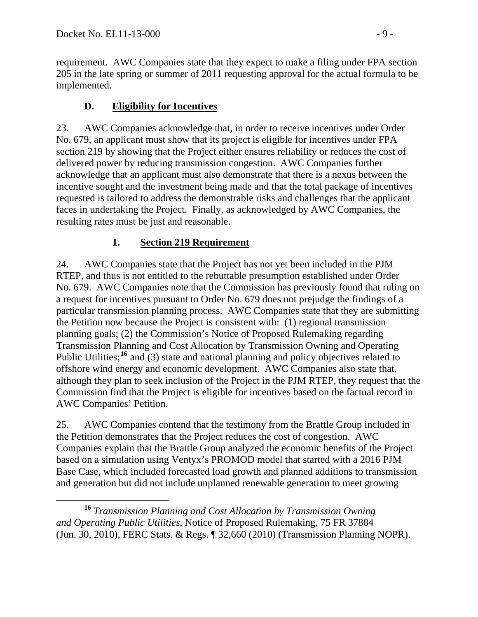requirement. AWC Companies state that they expect to make a filing under FPA section 205 in the late spring or summer of 2011 requesting approval for the actual formula to be implemented.

# **D. Eligibility for Incentives**

23. AWC Companies acknowledge that, in order to receive incentives under Order No. 679, an applicant must show that its project is eligible for incentives under FPA section 219 by showing that the Project either ensures reliability or reduces the cost of delivered power by reducing transmission congestion. AWC Companies further acknowledge that an applicant must also demonstrate that there is a nexus between the incentive sought and the investment being made and that the total package of incentives requested is tailored to address the demonstrable risks and challenges that the applicant faces in undertaking the Project. Finally, as acknowledged by AWC Companies, the resulting rates must be just and reasonable.

# **1. Section 219 Requirement**

24. AWC Companies state that the Project has not yet been included in the PJM RTEP, and thus is not entitled to the rebuttable presumption established under Order No. 679. AWC Companies note that the Commission has previously found that ruling on a request for incentives pursuant to Order No. 679 does not prejudge the findings of a particular transmission planning process. AWC Companies state that they are submitting the Petition now because the Project is consistent with: (1) regional transmission planning goals; (2) the Commission's Notice of Proposed Rulemaking regarding Transmission Planning and Cost Allocation by Transmission Owning and Operating Public Utilities;<sup>[16](#page-8-0)</sup> and (3) state and national planning and policy objectives related to offshore wind energy and economic development. AWC Companies also state that, although they plan to seek inclusion of the Project in the PJM RTEP, they request that the Commission find that the Project is eligible for incentives based on the factual record in AWC Companies' Petition.

25. AWC Companies contend that the testimony from the Brattle Group included in the Petition demonstrates that the Project reduces the cost of congestion. AWC Companies explain that the Brattle Group analyzed the economic benefits of the Project based on a simulation using Ventyx's PROMOD model that started with a 2016 PJM Base Case, which included forecasted load growth and planned additions to transmission and generation but did not include unplanned renewable generation to meet growing

<span id="page-8-0"></span> **<sup>16</sup>** *Transmission Planning and Cost Allocation by Transmission Owning and Operating Public Utilities*, Notice of Proposed Rulemaking, 75 FR 37884 (Jun. 30, 2010), FERC Stats. & Regs. ¶ 32,660 (2010) (Transmission Planning NOPR).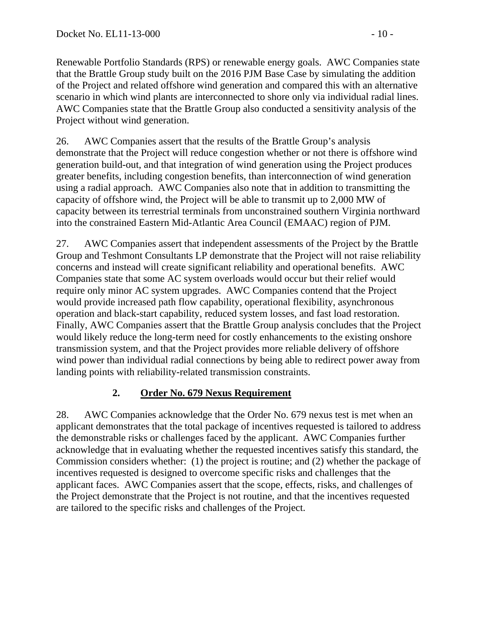Renewable Portfolio Standards (RPS) or renewable energy goals. AWC Companies state that the Brattle Group study built on the 2016 PJM Base Case by simulating the addition of the Project and related offshore wind generation and compared this with an alternative scenario in which wind plants are interconnected to shore only via individual radial lines. AWC Companies state that the Brattle Group also conducted a sensitivity analysis of the Project without wind generation.

26. AWC Companies assert that the results of the Brattle Group's analysis demonstrate that the Project will reduce congestion whether or not there is offshore wind generation build-out, and that integration of wind generation using the Project produces greater benefits, including congestion benefits, than interconnection of wind generation using a radial approach. AWC Companies also note that in addition to transmitting the capacity of offshore wind, the Project will be able to transmit up to 2,000 MW of capacity between its terrestrial terminals from unconstrained southern Virginia northward into the constrained Eastern Mid-Atlantic Area Council (EMAAC) region of PJM.

27. AWC Companies assert that independent assessments of the Project by the Brattle Group and Teshmont Consultants LP demonstrate that the Project will not raise reliability concerns and instead will create significant reliability and operational benefits. AWC Companies state that some AC system overloads would occur but their relief would require only minor AC system upgrades. AWC Companies contend that the Project would provide increased path flow capability, operational flexibility, asynchronous operation and black-start capability, reduced system losses, and fast load restoration. Finally, AWC Companies assert that the Brattle Group analysis concludes that the Project would likely reduce the long-term need for costly enhancements to the existing onshore transmission system, and that the Project provides more reliable delivery of offshore wind power than individual radial connections by being able to redirect power away from landing points with reliability-related transmission constraints.

# **2. Order No. 679 Nexus Requirement**

28. AWC Companies acknowledge that the Order No. 679 nexus test is met when an applicant demonstrates that the total package of incentives requested is tailored to address the demonstrable risks or challenges faced by the applicant. AWC Companies further acknowledge that in evaluating whether the requested incentives satisfy this standard, the Commission considers whether: (1) the project is routine; and (2) whether the package of incentives requested is designed to overcome specific risks and challenges that the applicant faces. AWC Companies assert that the scope, effects, risks, and challenges of the Project demonstrate that the Project is not routine, and that the incentives requested are tailored to the specific risks and challenges of the Project.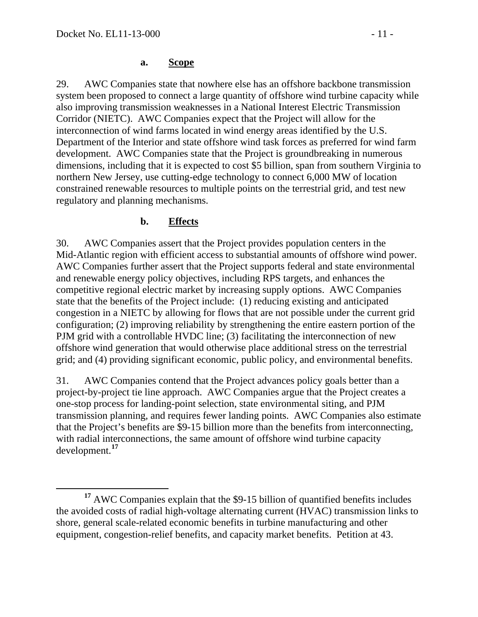#### **a. Scope**

29. AWC Companies state that nowhere else has an offshore backbone transmission system been proposed to connect a large quantity of offshore wind turbine capacity while also improving transmission weaknesses in a National Interest Electric Transmission Corridor (NIETC). AWC Companies expect that the Project will allow for the interconnection of wind farms located in wind energy areas identified by the U.S. Department of the Interior and state offshore wind task forces as preferred for wind farm development. AWC Companies state that the Project is groundbreaking in numerous dimensions, including that it is expected to cost \$5 billion, span from southern Virginia to northern New Jersey, use cutting-edge technology to connect 6,000 MW of location constrained renewable resources to multiple points on the terrestrial grid, and test new regulatory and planning mechanisms.

#### **b. Effects**

30. AWC Companies assert that the Project provides population centers in the Mid-Atlantic region with efficient access to substantial amounts of offshore wind power. AWC Companies further assert that the Project supports federal and state environmental and renewable energy policy objectives, including RPS targets, and enhances the competitive regional electric market by increasing supply options. AWC Companies state that the benefits of the Project include: (1) reducing existing and anticipated congestion in a NIETC by allowing for flows that are not possible under the current grid configuration; (2) improving reliability by strengthening the entire eastern portion of the PJM grid with a controllable HVDC line; (3) facilitating the interconnection of new offshore wind generation that would otherwise place additional stress on the terrestrial grid; and (4) providing significant economic, public policy, and environmental benefits.

31. AWC Companies contend that the Project advances policy goals better than a project-by-project tie line approach. AWC Companies argue that the Project creates a one-stop process for landing-point selection, state environmental siting, and PJM transmission planning, and requires fewer landing points. AWC Companies also estimate that the Project's benefits are \$9-15 billion more than the benefits from interconnecting, with radial interconnections, the same amount of offshore wind turbine capacity development.**[17](#page-10-0)**

<span id="page-10-0"></span><sup>&</sup>lt;sup>17</sup> AWC Companies explain that the \$9-15 billion of quantified benefits includes the avoided costs of radial high-voltage alternating current (HVAC) transmission links to shore, general scale-related economic benefits in turbine manufacturing and other equipment, congestion-relief benefits, and capacity market benefits. Petition at 43.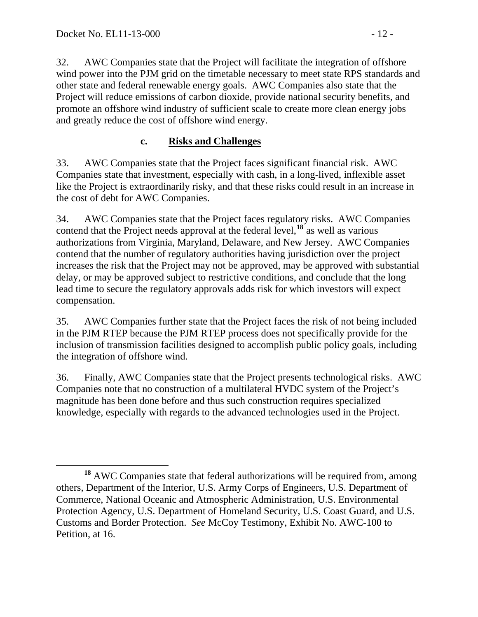32. AWC Companies state that the Project will facilitate the integration of offshore wind power into the PJM grid on the timetable necessary to meet state RPS standards and other state and federal renewable energy goals. AWC Companies also state that the Project will reduce emissions of carbon dioxide, provide national security benefits, and promote an offshore wind industry of sufficient scale to create more clean energy jobs and greatly reduce the cost of offshore wind energy.

### **c. Risks and Challenges**

33. AWC Companies state that the Project faces significant financial risk. AWC Companies state that investment, especially with cash, in a long-lived, inflexible asset like the Project is extraordinarily risky, and that these risks could result in an increase in the cost of debt for AWC Companies.

34. AWC Companies state that the Project faces regulatory risks. AWC Companies contend that the Project needs approval at the federal level,**[18](#page-11-0)** as well as various authorizations from Virginia, Maryland, Delaware, and New Jersey. AWC Companies contend that the number of regulatory authorities having jurisdiction over the project increases the risk that the Project may not be approved, may be approved with substantial delay, or may be approved subject to restrictive conditions, and conclude that the long lead time to secure the regulatory approvals adds risk for which investors will expect compensation.

35. AWC Companies further state that the Project faces the risk of not being included in the PJM RTEP because the PJM RTEP process does not specifically provide for the inclusion of transmission facilities designed to accomplish public policy goals, including the integration of offshore wind.

36. Finally, AWC Companies state that the Project presents technological risks. AWC Companies note that no construction of a multilateral HVDC system of the Project's magnitude has been done before and thus such construction requires specialized knowledge, especially with regards to the advanced technologies used in the Project.

<span id="page-11-0"></span>**<sup>18</sup>** AWC Companies state that federal authorizations will be required from, among others, Department of the Interior, U.S. Army Corps of Engineers, U.S. Department of Commerce, National Oceanic and Atmospheric Administration, U.S. Environmental Protection Agency, U.S. Department of Homeland Security, U.S. Coast Guard, and U.S. Customs and Border Protection. *See* McCoy Testimony, Exhibit No. AWC-100 to Petition, at 16.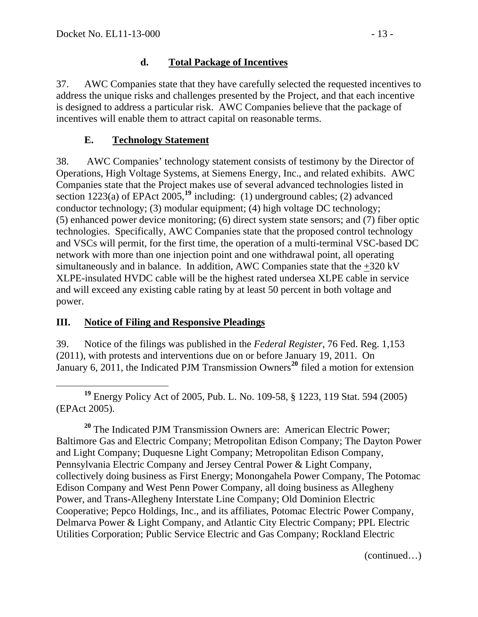### **d. Total Package of Incentives**

37. AWC Companies state that they have carefully selected the requested incentives to address the unique risks and challenges presented by the Project, and that each incentive is designed to address a particular risk. AWC Companies believe that the package of incentives will enable them to attract capital on reasonable terms.

### **E. Technology Statement**

38. AWC Companies' technology statement consists of testimony by the Director of Operations, High Voltage Systems, at Siemens Energy, Inc., and related exhibits. AWC Companies state that the Project makes use of several advanced technologies listed in section 1223(a) of EPAct 2005,<sup>[19](#page-12-0)</sup> including: (1) underground cables; (2) advanced conductor technology; (3) modular equipment; (4) high voltage DC technology; (5) enhanced power device monitoring; (6) direct system state sensors; and (7) fiber optic technologies. Specifically, AWC Companies state that the proposed control technology and VSCs will permit, for the first time, the operation of a multi-terminal VSC-based DC network with more than one injection point and one withdrawal point, all operating simultaneously and in balance. In addition, AWC Companies state that the +320 kV XLPE-insulated HVDC cable will be the highest rated undersea XLPE cable in service and will exceed any existing cable rating by at least 50 percent in both voltage and power.

### **III. Notice of Filing and Responsive Pleadings**

39. Notice of the filings was published in the *Federal Register*, 76 Fed. Reg. 1,153 (2011), with protests and interventions due on or before January 19, 2011. On January 6, [20](#page-12-1)11, the Indicated PJM Transmission Owners<sup>20</sup> filed a motion for extension

<span id="page-12-0"></span> $\overline{a}$ **<sup>19</sup>** Energy Policy Act of 2005, Pub. L. No. 109-58, § 1223, 119 Stat. 594 (2005) (EPAct 2005).

<span id="page-12-1"></span><sup>20</sup> The Indicated PJM Transmission Owners are: American Electric Power; Baltimore Gas and Electric Company; Metropolitan Edison Company; The Dayton Power and Light Company; Duquesne Light Company; Metropolitan Edison Company, Pennsylvania Electric Company and Jersey Central Power & Light Company, collectively doing business as First Energy; Monongahela Power Company, The Potomac Edison Company and West Penn Power Company, all doing business as Allegheny Power, and Trans-Allegheny Interstate Line Company; Old Dominion Electric Cooperative; Pepco Holdings, Inc., and its affiliates, Potomac Electric Power Company, Delmarva Power & Light Company, and Atlantic City Electric Company; PPL Electric Utilities Corporation; Public Service Electric and Gas Company; Rockland Electric

(continued…)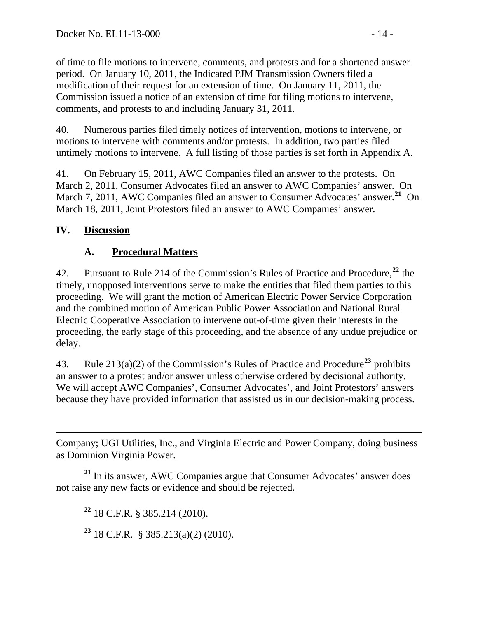of time to file motions to intervene, comments, and protests and for a shortened answer period. On January 10, 2011, the Indicated PJM Transmission Owners filed a modification of their request for an extension of time. On January 11, 2011, the Commission issued a notice of an extension of time for filing motions to intervene, comments, and protests to and including January 31, 2011.

40. Numerous parties filed timely notices of intervention, motions to intervene, or motions to intervene with comments and/or protests. In addition, two parties filed untimely motions to intervene. A full listing of those parties is set forth in Appendix A.

41. On February 15, 2011, AWC Companies filed an answer to the protests. On March 2, 2011, Consumer Advocates filed an answer to AWC Companies' answer. On March 7, 2011, AWC Companies filed an answer to Consumer Advocates' answer.**[21](#page-13-0)** On March 18, 2011, Joint Protestors filed an answer to AWC Companies' answer.

# **IV. Discussion**

# **A. Procedural Matters**

42. Pursuant to Rule 214 of the Commission's Rules of Practice and Procedure,**[22](#page-13-1)** the timely, unopposed interventions serve to make the entities that filed them parties to this proceeding. We will grant the motion of American Electric Power Service Corporation and the combined motion of American Public Power Association and National Rural Electric Cooperative Association to intervene out-of-time given their interests in the proceeding, the early stage of this proceeding, and the absence of any undue prejudice or delay.

43. Rule 213(a)(2) of the Commission's Rules of Practice and Procedure**[23](#page-13-2)** prohibits an answer to a protest and/or answer unless otherwise ordered by decisional authority. We will accept AWC Companies', Consumer Advocates', and Joint Protestors' answ ers because they have provided information that assisted us in our decision-making process.

 $\overline{a}$ Company; UGI Utilities, Inc., and Virginia Electric and Power Company, doing business as Dominion Virginia Power.

<span id="page-13-2"></span><span id="page-13-1"></span><span id="page-13-0"></span>**<sup>21</sup>** In its answer, AWC Companies argue that Consumer Advocates' answer does not raise any new facts or evidence and should be rejected.

**<sup>22</sup>** 18 C.F.R. § 385.214 (2010).

**<sup>23</sup>** 18 C.F.R. § 385.213(a)(2) (2010).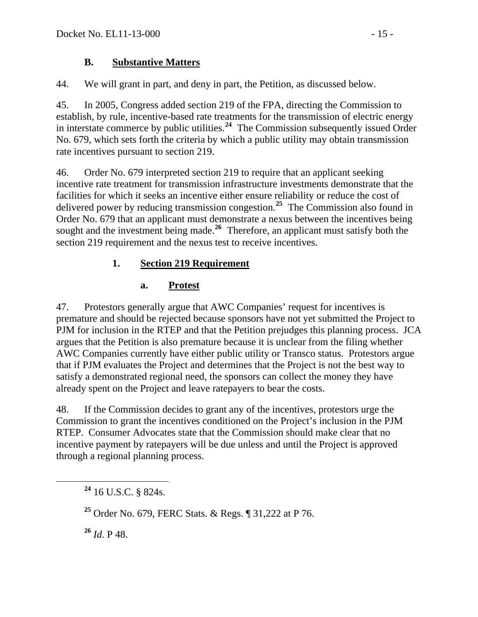### **B. Substantive Matters**

44. We will grant in part, and deny in part, the Petition, as discussed below.

45. In 2005, Congress added section 219 of the FPA, directing the Commission to establish, by rule, incentive-based rate treatments for the transmission of electric energy in interstate commerce by public utilities.**[24](#page-14-0)** The Commission subsequently issued Order No. 679, which sets forth the criteria by which a public utility may obtain transmission rate incentives pursuant to section 219.

46. Order No. 679 interpreted section 219 to require that an applicant seeking incentive rate treatment for transmission infrastructure investments demonstrate that the facilities for which it seeks an incentive either ensure reliability or reduce the cost of delivered power by reducing transmission congestion.**[25](#page-14-1)** The Commission also found in Order No. 679 that an applicant must demonstrate a nexus between the incentives being sought and the investment being made.<sup>[26](#page-14-2)</sup> Therefore, an applicant must satisfy both the section 219 requirement and the nexus test to receive incentives.

## **1. Section 219 Requirement**

### **a. Protest**

47. Protestors generally argue that AWC Companies' request for incentives is premature and should be rejected because sponsors have not yet submitted the Project to PJM for inclusion in the RTEP and that the Petition prejudges this planning process. JCA argues that the Petition is also premature because it is unclear from the filing whether AWC Companies currently have either public utility or Transco status. Protestors argue that if PJM evaluates the Project and determines that the Project is not the best way to satisfy a demonstrated regional need, the sponsors can collect the money they have already spent on the Project and leave ratepayers to bear the costs.

48. If the Commission decides to grant any of the incentives, protestors urge the Commission to grant the incentives conditioned on the Project's inclusion in the PJM RTEP. Consumer Advocates state that the Commission should make clear that no incentive payment by ratepayers will be due unless and until the Project is approved through a regional planning process.

<span id="page-14-2"></span>**<sup>26</sup>** *Id*. P 48.

<span id="page-14-0"></span>**<sup>24</sup>** 16 U.S.C. § 824s.

<span id="page-14-1"></span>**<sup>25</sup>** Order No. 679, FERC Stats. & Regs. ¶ 31,222 at P 76.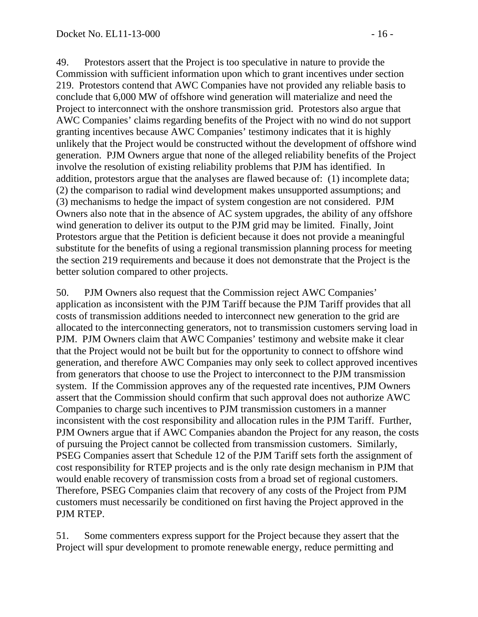49. Protestors assert that the Project is too speculative in nature to provide the Commission with sufficient information upon which to grant incentives under section 219. Protestors contend that AWC Companies have not provided any reliable basis to conclude that 6,000 MW of offshore wind generation will materialize and need the Project to interconnect with the onshore transmission grid. Protestors also argue that AWC Companies' claims regarding benefits of the Project with no wind do not support granting incentives because AWC Companies' testimony indicates that it is highly unlikely that the Project would be constructed without the development of offshore wind generation. PJM Owners argue that none of the alleged reliability benefits of the Project involve the resolution of existing reliability problems that PJM has identified. In addition, protestors argue that the analyses are flawed because of: (1) incomplete data; (2) the comparison to radial wind development makes unsupported assumptions; and (3) mechanisms to hedge the impact of system congestion are not considered. PJM Owners also note that in the absence of AC system upgrades, the ability of any offshore wind generation to deliver its output to the PJM grid may be limited. Finally, Joint Protestors argue that the Petition is deficient because it does not provide a meaningful substitute for the benefits of using a regional transmission planning process for meeting the section 219 requirements and because it does not demonstrate that the Project is the better solution compared to other projects.

50. PJM Owners also request that the Commission reject AWC Companies' application as inconsistent with the PJM Tariff because the PJM Tariff provides that all costs of transmission additions needed to interconnect new generation to the grid are allocated to the interconnecting generators, not to transmission customers serving load in PJM. PJM Owners claim that AWC Companies' testimony and website make it clear that the Project would not be built but for the opportunity to connect to offshore wind generation, and therefore AWC Companies may only seek to collect approved incentives from generators that choose to use the Project to interconnect to the PJM transmission system. If the Commission approves any of the requested rate incentives, PJM Owners assert that the Commission should confirm that such approval does not authorize AWC Companies to charge such incentives to PJM transmission customers in a manner inconsistent with the cost responsibility and allocation rules in the PJM Tariff. Further, PJM Owners argue that if AWC Companies abandon the Project for any reason, the costs of pursuing the Project cannot be collected from transmission customers. Similarly, PSEG Companies assert that Schedule 12 of the PJM Tariff sets forth the assignment of cost responsibility for RTEP projects and is the only rate design mechanism in PJM that would enable recovery of transmission costs from a broad set of regional customers. Therefore, PSEG Companies claim that recovery of any costs of the Project from PJM customers must necessarily be conditioned on first having the Project approved in the PJM RTEP.

51. Some commenters express support for the Project because they assert that the Project will spur development to promote renewable energy, reduce permitting and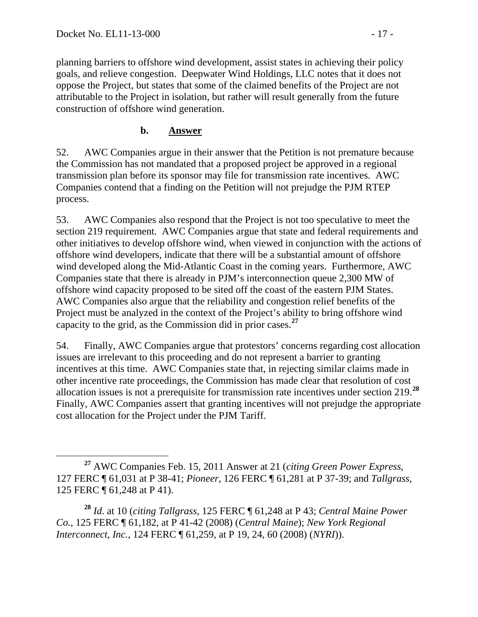planning barriers to offshore wind development, assist states in achieving their policy goals, and relieve congestion. Deepwater Wind Holdings, LLC notes that it does not oppose the Project, but states that some of the claimed benefits of the Project are not attributable to the Project in isolation, but rather will result generally from the future construction of offshore wind generation.

### **b. Answer**

52. AWC Companies argue in their answer that the Petition is not premature because the Commission has not mandated that a proposed project be approved in a regional transmission plan before its sponsor may file for transmission rate incentives. AWC Companies contend that a finding on the Petition will not prejudge the PJM RTEP process.

53. AWC Companies also respond that the Project is not too speculative to meet the section 219 requirement. AWC Companies argue that state and federal requirements and other initiatives to develop offshore wind, when viewed in conjunction with the actions of offshore wind developers, indicate that there will be a substantial amount of offshore wind developed along the Mid-Atlantic Coast in the coming years. Furthermore, AWC Companies state that there is already in PJM's interconnection queue 2,300 MW of offshore wind capacity proposed to be sited off the coast of the eastern PJM States. AWC Companies also argue that the reliability and congestion relief benefits of the Project must be analyzed in the context of the Project's ability to bring offshore wind capacity to the grid, as the Commission did in prior cases.**[27](#page-16-0)**

54. Finally, AWC Companies argue that protestors' concerns regarding cost allocation issues are irrelevant to this proceeding and do not represent a barrier to granting incentives at this time. AWC Companies state that, in rejecting similar claims made in other incentive rate proceedings, the Commission has made clear that resolution of cost allocation issues is not a prerequisite for transmission rate incentives under section 219.**[28](#page-16-1)** Finally, AWC Companies assert that granting incentives will not prejudge the appropriate cost allocation for the Project under the PJM Tariff.

<span id="page-16-0"></span>**<sup>27</sup>** AWC Companies Feb. 15, 2011 Answer at 21 (*citing Green Power Express*, 127 FERC ¶ 61,031 at P 38-41; *Pioneer*, 126 FERC ¶ 61,281 at P 37-39; and *Tallgrass*, 125 FERC ¶ 61,248 at P 41).

<span id="page-16-1"></span>**<sup>28</sup>** *Id*. at 10 (*citing Tallgrass*, 125 FERC ¶ 61,248 at P 43; *Central Maine Power Co.*, 125 FERC ¶ 61,182, at P 41-42 (2008) (*Central Maine*); *New York Regional Interconnect, Inc.*, 124 FERC ¶ 61,259, at P 19, 24, 60 (2008) (*NYRI*)).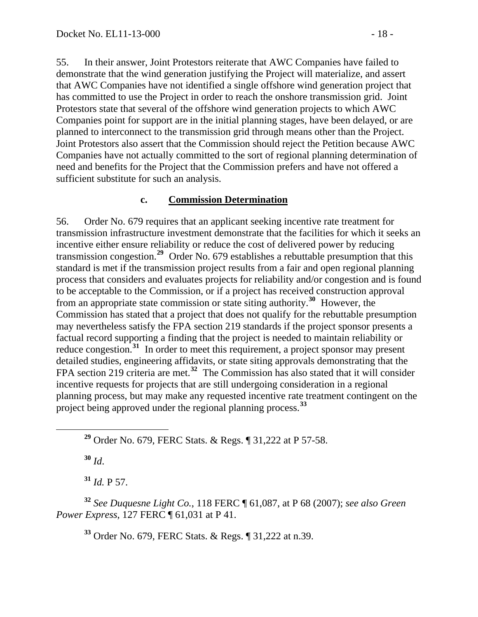55. In their answer, Joint Protestors reiterate that AWC Companies have failed to demonstrate that the wind generation justifying the Project will materialize, and assert that AWC Companies have not identified a single offshore wind generation project that has committed to use the Project in order to reach the onshore transmission grid. Joint Protestors state that several of the offshore wind generation projects to which AWC Companies point for support are in the initial planning stages, have been delayed, or are planned to interconnect to the transmission grid through means other than the Project. Joint Protestors also assert that the Commission should reject the Petition because AWC Companies have not actually committed to the sort of regional planning determination of need and benefits for the Project that the Commission prefers and have not offered a sufficient substitute for such an analysis.

### **c. Commission Determination**

56. Order No. 679 requires that an applicant seeking incentive rate treatment for transmission infrastructure investment demonstrate that the facilities for which it seeks an incentive either ensure reliability or reduce the cost of delivered power by reducing transmission congestion.**[29](#page-17-0)** Order No. 679 establishes a rebuttable presumption that this standard is met if the transmission project results from a fair and open regional planning process that considers and evaluates projects for reliability and/or congestion and is found to be acceptable to the Commission, or if a project has received construction approval from an appropriate state commission or state siting authority.**[30](#page-17-1)** However, the Commission has stated that a project that does not qualify for the rebuttable presumption may nevertheless satisfy the FPA section 219 standards if the project sponsor presents a factual record supporting a finding that the project is needed to maintain reliability or reduce congestion.**[31](#page-17-2)** In order to meet this requirement, a project sponsor may present detailed studies, engineering affidavits, or state siting approvals demonstrating that the FPA section 219 criteria are met.<sup>[32](#page-17-3)</sup> The Commission has also stated that it will consider incentive requests for projects that are still undergoing consideration in a regional planning process, but may make any requested incentive rate treatment contingent on the project being approved under the regional planning process.**[33](#page-17-4)**

**<sup>29</sup>** Order No. 679, FERC Stats. & Regs. ¶ 31,222 at P 57-58.

**<sup>30</sup>** *Id*.

**<sup>31</sup>** *Id.* P 57.

<span id="page-17-4"></span><span id="page-17-3"></span><span id="page-17-2"></span><span id="page-17-1"></span><span id="page-17-0"></span>**<sup>32</sup>** *See Duquesne Light Co.*, 118 FERC ¶ 61,087, at P 68 (2007); *see also Green Power Express*, 127 FERC ¶ 61,031 at P 41.

**<sup>33</sup>** Order No. 679, FERC Stats. & Regs. ¶ 31,222 at n.39.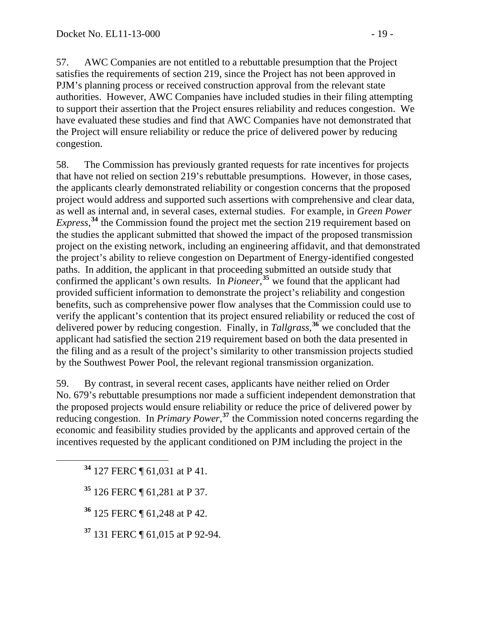57. AWC Companies are not entitled to a rebuttable presumption that the Project satisfies the requirements of section 219, since the Project has not been approved in PJM's planning process or received construction approval from the relevant state authorities. However, AWC Companies have included studies in their filing attempting to support their assertion that the Project ensures reliability and reduces congestion. We have evaluated these studies and find that AWC Companies have not demonstrated that the Project will ensure reliability or reduce the price of delivered power by reducing congestion.

58. The Commission has previously granted requests for rate incentives for projects that have not relied on section 219's rebuttable presumptions. However, in those cases, the applicants clearly demonstrated reliability or congestion concerns that the proposed project would address and supported such assertions with comprehensive and clear data, as well as internal and, in several cases, external studies. For example, in *Green Power Express*<sup>[34](#page-18-0)</sup>, the Commission found the project met the section 219 requirement based on the studies the applicant submitted that showed the impact of the proposed transmission project on the existing network, including an engineering affidavit, and that demonstrated the project's ability to relieve congestion on Department of Energy-identified congested paths. In addition, the applicant in that proceeding submitted an outside study that confirmed the applicant's own results. In *Pioneer*,<sup>[35](#page-18-1)</sup> we found that the applicant had provided sufficient information to demonstrate the project's reliability and congestion benefits, such as comprehensive power flow analyses that the Commission could use to verify the applicant's contention that its project ensured reliability or reduced the cost of delivered power by reducing congestion. Finally, in *Tallgrass*, **[36](#page-18-2)** we concluded that the applicant had satisfied the section 219 requirement based on both the data presented in the filing and as a result of the project's similarity to other transmission projects studied by the Southwest Power Pool, the relevant regional transmission organization.

59. By contrast, in several recent cases, applicants have neither relied on Order No. 679's rebuttable presumptions nor made a sufficient independent demonstration that the proposed projects would ensure reliability or reduce the price of delivered power by reducing congestion. In *Primary Power*<sup>[37](#page-18-3)</sup> the Commission noted concerns regarding the economic and feasibility studies provided by the applicants and approved certain of the incentives requested by the applicant conditioned on PJM including the project in the

<span id="page-18-0"></span>**<sup>34</sup>** 127 FERC ¶ 61,031 at P 41.

<span id="page-18-1"></span>**<sup>35</sup>** 126 FERC ¶ 61,281 at P 37.

<span id="page-18-2"></span>**<sup>36</sup>** 125 FERC ¶ 61,248 at P 42.

<span id="page-18-3"></span>**<sup>37</sup>** 131 FERC ¶ 61,015 at P 92-94.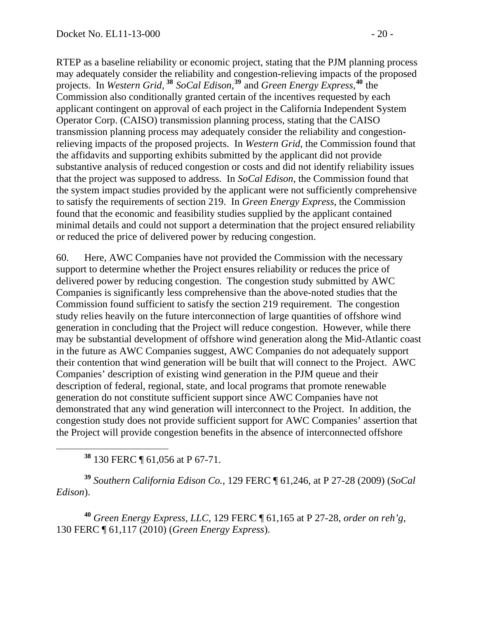RTEP as a baseline reliability or economic project, stating that the PJM planning process may adequately consider the reliability and congestion-relieving impacts of the proposed projects. In *Western Grid*, **<sup>38</sup>** *SoCal Edison*, **<sup>39</sup>** and *Green Energy Express*, **<sup>40</sup>** the Commission also conditionally granted certain of the incentives requested by each applicant contingent on approval of each project in the California Independent System Operator Corp. (CAISO) transmission planning process, stating that the CAISO transmission planning process may adequately consider the reliability and congestionrelieving impacts of the proposed projects. In *Western Grid*, the Commission found that the affidavits and supporting exhibits submitted by the applicant did not provide substantive analysis of reduced congestion or costs and did not identify reliability issues that the project was supposed to address. In *SoCal Edison*, the Commission found that the system impact studies provided by the applicant were not sufficiently comprehensive to satisfy the requirements of section 219. In *Green Energy Express*, the Commission found that the economic and feasibility studies supplied by the applicant contained minimal details and could not support a determination that the project ensured reliability or reduced the price of delivered power by reducing congestion.

60. Here, AWC Companies have not provided the Commission with the necessary support to determine whether the Project ensures reliability or reduces the price of delivered power by reducing congestion. The congestion study submitted by AWC Companies is significantly less comprehensive than the above-noted studies that the Commission found sufficient to satisfy the section 219 requirement. The congestion study relies heavily on the future interconnection of large quantities of offshore wind generation in concluding that the Project will reduce congestion. However, while there may be substantial development of offshore wind generation along the Mid-Atlantic coast in the future as AWC Companies suggest, AWC Companies do not adequately support their contention that wind generation will be built that will connect to the Project. AWC Companies' description of existing wind generation in the PJM queue and their description of federal, regional, state, and local programs that promote renewable generation do not constitute sufficient support since AWC Companies have not demonstrated that any wind generation will interconnect to the Project. In addition, the congestion study does not provide sufficient support for AWC Companies' assertion that the Project will provide congestion benefits in the absence of interconnected offshore

**<sup>38</sup>** 130 FERC ¶ 61,056 at P 67-71.

**<sup>39</sup>** *Southern California Edison Co.*, 129 FERC ¶ 61,246, at P 27-28 (2009) (*SoCal Edison*).

**<sup>40</sup>** *Green Energy Express, LLC*, 129 FERC ¶ 61,165 at P 27-28, *order on reh'g*, 130 FERC ¶ 61,117 (2010) (*Green Energy Express*).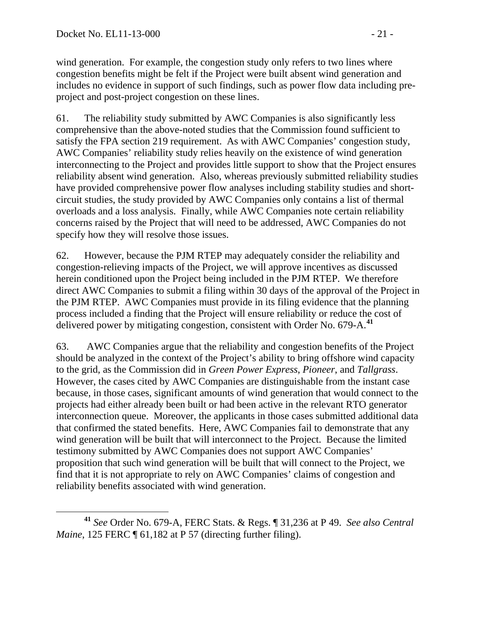wind generation. For example, the congestion study only refers to two lines where congestion benefits might be felt if the Project were built absent wind generation and includes no evidence in support of such findings, such as power flow data including preproject and post-project congestion on these lines.

61. The reliability study submitted by AWC Companies is also significantly less comprehensive than the above-noted studies that the Commission found sufficient to satisfy the FPA section 219 requirement. As with AWC Companies' congestion study, AWC Companies' reliability study relies heavily on the existence of wind generation interconnecting to the Project and provides little support to show that the Project ensures reliability absent wind generation. Also, whereas previously submitted reliability studies have provided comprehensive power flow analyses including stability studies and shortcircuit studies, the study provided by AWC Companies only contains a list of thermal overloads and a loss analysis. Finally, while AWC Companies note certain reliability concerns raised by the Project that will need to be addressed, AWC Companies do not specify how they will resolve those issues.

62. However, because the PJM RTEP may adequately consider the reliability and congestion-relieving impacts of the Project, we will approve incentives as discussed herein conditioned upon the Project being included in the PJM RTEP. We therefore direct AWC Companies to submit a filing within 30 days of the approval of the Project in the PJM RTEP. AWC Companies must provide in its filing evidence that the planning process included a finding that the Project will ensure reliability or reduce the cost of delivered power by mitigating congestion, consistent with Order No. 679-A.**[41](#page-20-0)**

63. AWC Companies argue that the reliability and congestion benefits of the Project should be analyzed in the context of the Project's ability to bring offshore wind capacity to the grid, as the Commission did in *Green Power Express*, *Pioneer*, and *Tallgrass*. However, the cases cited by AWC Companies are distinguishable from the instant case because, in those cases, significant amounts of wind generation that would connect to the projects had either already been built or had been active in the relevant RTO generator interconnection queue. Moreover, the applicants in those cases submitted additional data that confirmed the stated benefits. Here, AWC Companies fail to demonstrate that any wind generation will be built that will interconnect to the Project. Because the limited testimony submitted by AWC Companies does not support AWC Companies' proposition that such wind generation will be built that will connect to the Project, we find that it is not appropriate to rely on AWC Companies' claims of congestion and reliability benefits associated with wind generation.

<span id="page-20-0"></span>**<sup>41</sup>** *See* Order No. 679-A, FERC Stats. & Regs. ¶ 31,236 at P 49. *See also Central Maine*, 125 FERC ¶ 61,182 at P 57 (directing further filing).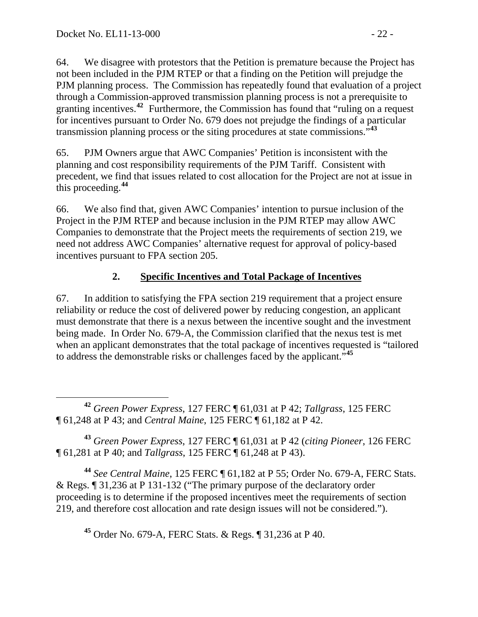64. We disagree with protestors that the Petition is premature because the Project has not been included in the PJM RTEP or that a finding on the Petition will prejudge the PJM planning process. The Commission has repeatedly found that evaluation of a project through a Commission-approved transmission planning process is not a prerequisite to granting incentives.<sup>[42](#page-21-0)</sup> Furthermore, the Commission has found that "ruling on a request" for incentives pursuant to Order No. 679 does not prejudge the findings of a particular transmission planning process or the siting procedures at state commissions."**[43](#page-21-1)**

65. PJM Owners argue that AWC Companies' Petition is inconsistent with the planning and cost responsibility requirements of the PJM Tariff. Consistent with precedent, we find that issues related to cost allocation for the Project are not at issue in this proceeding.**[44](#page-21-2)**

66. We also find that, given AWC Companies' intention to pursue inclusion of the Project in the PJM RTEP and because inclusion in the PJM RTEP may allow AWC Companies to demonstrate that the Project meets the requirements of section 219, we need not address AWC Companies' alternative request for approval of policy-based incentives pursuant to FPA section 205.

# **2. Specific Incentives and Total Package of Incentives**

67. In addition to satisfying the FPA section 219 requirement that a project ensure reliability or reduce the cost of delivered power by reducing congestion, an applicant must demonstrate that there is a nexus between the incentive sought and the investment being made. In Order No. 679-A, the Commission clarified that the nexus test is met when an applicant demonstrates that the total package of incentives requested is "tailored to address the demonstrable risks or challenges faced by the applicant."**[45](#page-21-3)**

<span id="page-21-0"></span> **<sup>42</sup>** *Green Power Express*, 127 FERC ¶ 61,031 at P 42; *Tallgrass*, 125 FERC ¶ 61,248 at P 43; and *Central Maine*, 125 FERC ¶ 61,182 at P 42.

<span id="page-21-1"></span>**<sup>43</sup>** *Green Power Express*, 127 FERC ¶ 61,031 at P 42 (*citing Pioneer*, 126 FERC ¶ 61,281 at P 40; and *Tallgrass*, 125 FERC ¶ 61,248 at P 43).

<span id="page-21-3"></span><span id="page-21-2"></span>**<sup>44</sup>** *See Central Maine*, 125 FERC ¶ 61,182 at P 55; Order No. 679-A, FERC Stats. & Regs. ¶ 31,236 at P 131-132 ("The primary purpose of the declaratory order proceeding is to determine if the proposed incentives meet the requirements of section 219, and therefore cost allocation and rate design issues will not be considered.").

**<sup>45</sup>** Order No. 679-A, FERC Stats. & Regs. ¶ 31,236 at P 40.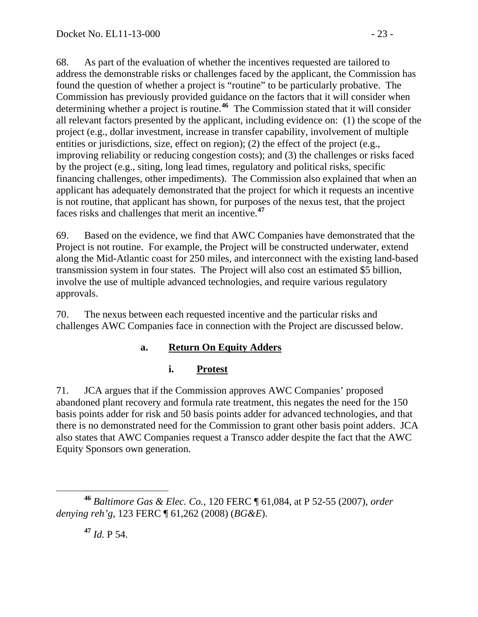68. As part of the evaluation of whether the incentives requested are tailored to address the demonstrable risks or challenges faced by the applicant, the Commission has found the question of whether a project is "routine" to be particularly probative. The Commission has previously provided guidance on the factors that it will consider when determining whether a project is routine.**[46](#page-22-0)** The Commission stated that it will consider all relevant factors presented by the applicant, including evidence on: (1) the scope of the project (e.g., dollar investment, increase in transfer capability, involvement of multiple entities or jurisdictions, size, effect on region); (2) the effect of the project (e.g., improving reliability or reducing congestion costs); and (3) the challenges or risks faced by the project (e.g., siting, long lead times, regulatory and political risks, specific financing challenges, other impediments). The Commission also explained that when an applicant has adequately demonstrated that the project for which it requests an incentive is not routine, that applicant has shown, for purposes of the nexus test, that the project faces risks and challenges that merit an incentive.**[47](#page-22-1)**

69. Based on the evidence, we find that AWC Companies have demonstrated that the Project is not routine. For example, the Project will be constructed underwater, extend along the Mid-Atlantic coast for 250 miles, and interconnect with the existing land-based transmission system in four states. The Project will also cost an estimated \$5 billion, involve the use of multiple advanced technologies, and require various regulatory approvals.

70. The nexus between each requested incentive and the particular risks and challenges AWC Companies face in connection with the Project are discussed below.

### **a. Return On Equity Adders**

# **i. Protest**

71. JCA argues that if the Commission approves AWC Companies' proposed abandoned plant recovery and formula rate treatment, this negates the need for the 150 basis points adder for risk and 50 basis points adder for advanced technologies, and that there is no demonstrated need for the Commission to grant other basis point adders. JCA also states that AWC Companies request a Transco adder despite the fact that the AWC Equity Sponsors own generation.

<span id="page-22-1"></span><span id="page-22-0"></span>**<sup>46</sup>** *Baltimore Gas & Elec. Co.*, 120 FERC ¶ 61,084, at P 52-55 (2007), *order denying reh'g*, 123 FERC ¶ 61,262 (2008) (*BG&E*).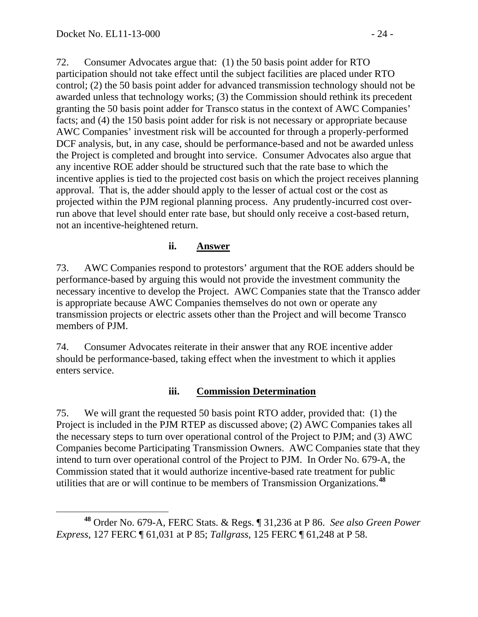72. Consumer Advocates argue that: (1) the 50 basis point adder for RTO participation should not take effect until the subject facilities are placed under RTO control; (2) the 50 basis point adder for advanced transmission technology should not be awarded unless that technology works; (3) the Commission should rethink its precedent granting the 50 basis point adder for Transco status in the context of AWC Companies' facts; and (4) the 150 basis point adder for risk is not necessary or appropriate because AWC Companies' investment risk will be accounted for through a properly-performed DCF analysis, but, in any case, should be performance-based and not be awarded unless the Project is completed and brought into service. Consumer Advocates also argue that any incentive ROE adder should be structured such that the rate base to which the incentive applies is tied to the projected cost basis on which the project receives planning approval. That is, the adder should apply to the lesser of actual cost or the cost as projected within the PJM regional planning process. Any prudently-incurred cost overrun above that level should enter rate base, but should only receive a cost-based return, not an incentive-heightened return.

#### **ii. Answer**

73. AWC Companies respond to protestors' argument that the ROE adders should be performance-based by arguing this would not provide the investment community the necessary incentive to develop the Project. AWC Companies state that the Transco adder is appropriate because AWC Companies themselves do not own or operate any transmission projects or electric assets other than the Project and will become Transco members of PJM.

74. Consumer Advocates reiterate in their answer that any ROE incentive adder should be performance-based, taking effect when the investment to which it applies enters service.

#### **iii. Commission Determination**

75. We will grant the requested 50 basis point RTO adder, provided that: (1) the Project is included in the PJM RTEP as discussed above; (2) AWC Companies takes all the necessary steps to turn over operational control of the Project to PJM; and (3) AWC Companies become Participating Transmission Owners. AWC Companies state that they intend to turn over operational control of the Project to PJM. In Order No. 679-A, the Commission stated that it would authorize incentive-based rate treatment for public utilities that are or will continue to be members of Transmission Organizations.**[48](#page-23-0)**

<span id="page-23-0"></span>**<sup>48</sup>** Order No. 679-A, FERC Stats. & Regs. ¶ 31,236 at P 86. *See also Green Power Express*, 127 FERC ¶ 61,031 at P 85; *Tallgrass*, 125 FERC ¶ 61,248 at P 58.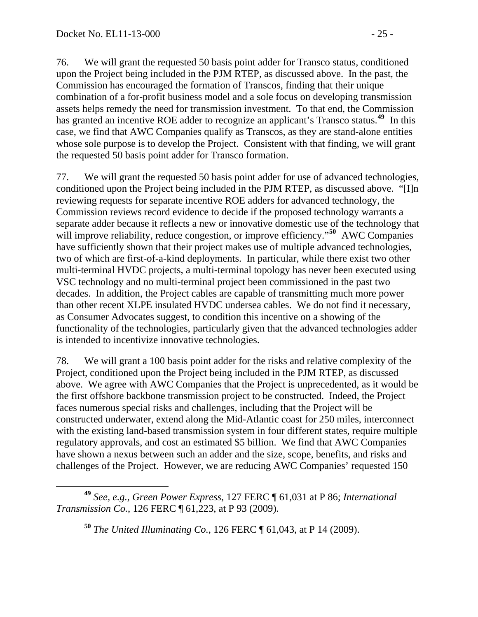76. We will grant the requested 50 basis point adder for Transco status, conditioned upon the Project being included in the PJM RTEP, as discussed above. In the past, the Commission has encouraged the formation of Transcos, finding that their unique combination of a for-profit business model and a sole focus on developing transmission assets helps remedy the need for transmission investment. To that end, the Commission has granted an incentive ROE adder to recognize an applicant's Transco status.**[49](#page-24-0)** In this case, we find that AWC Companies qualify as Transcos, as they are stand-alone entities whose sole purpose is to develop the Project. Consistent with that finding, we will grant the requested 50 basis point adder for Transco formation.

77. We will grant the requested 50 basis point adder for use of advanced technologies, conditioned upon the Project being included in the PJM RTEP, as discussed above. "[I]n reviewing requests for separate incentive ROE adders for advanced technology, the Commission reviews record evidence to decide if the proposed technology warrants a separate adder because it reflects a new or innovative domestic use of the technology that will improve reliability, reduce congestion, or improve efficiency."<sup>[50](#page-24-1)</sup> AWC Companies have sufficiently shown that their project makes use of multiple advanced technologies, two of which are first-of-a-kind deployments. In particular, while there exist two other multi-terminal HVDC projects, a multi-terminal topology has never been executed using VSC technology and no multi-terminal project been commissioned in the past two decades. In addition, the Project cables are capable of transmitting much more power than other recent XLPE insulated HVDC undersea cables. We do not find it necessary, as Consumer Advocates suggest, to condition this incentive on a showing of the functionality of the technologies, particularly given that the advanced technologies adder is intended to incentivize innovative technologies.

78. We will grant a 100 basis point adder for the risks and relative complexity of the Project, conditioned upon the Project being included in the PJM RTEP, as discussed above. We agree with AWC Companies that the Project is unprecedented, as it would be the first offshore backbone transmission project to be constructed. Indeed, the Project faces numerous special risks and challenges, including that the Project will be constructed underwater, extend along the Mid-Atlantic coast for 250 miles, interconnect with the existing land-based transmission system in four different states, require multiple regulatory approvals, and cost an estimated \$5 billion. We find that AWC Companies have shown a nexus between such an adder and the size, scope, benefits, and risks and challenges of the Project. However, we are reducing AWC Companies' requested 150

<span id="page-24-1"></span><span id="page-24-0"></span>**<sup>49</sup>** *See, e.g.*, *Green Power Express*, 127 FERC ¶ 61,031 at P 86; *International Transmission Co.*, 126 FERC ¶ 61,223, at P 93 (2009).

**<sup>50</sup>** *The United Illuminating Co.*, 126 FERC ¶ 61,043, at P 14 (2009).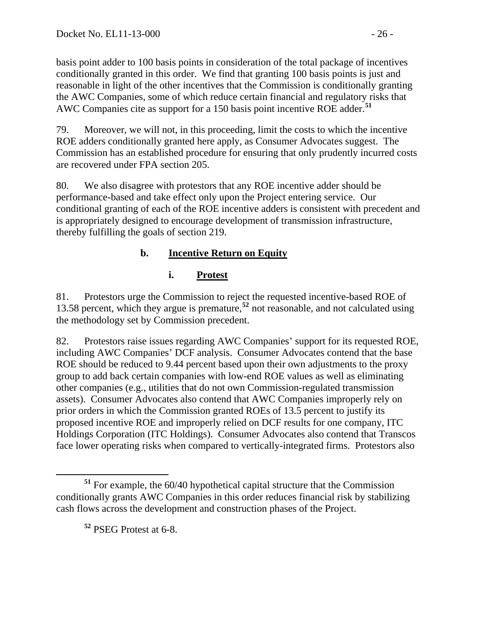basis point adder to 100 basis points in consideration of the total package of incentives conditionally granted in this order. We find that granting 100 basis points is just and reasonable in light of the other incentives that the Commission is conditionally granting the AWC Companies, some of which reduce certain financial and regulatory risks that AWC Companies cite as support for a 150 basis point incentive ROE adder.**<sup>51</sup>**

79. Moreover, we will not, in this proceeding, limit the costs to which the incentive ROE adders conditionally granted here apply, as Consumer Advocates suggest. The Commission has an established procedure for ensuring that only prudently incurred costs are recovered under FPA section 205.

80. We also disagree with protestors that any ROE incentive adder should be performance-based and take effect only upon the Project entering service. Our conditional granting of each of the ROE incentive adders is consistent with precedent and is appropriately designed to encourage development of transmission infrastructure, thereby fulfilling the goals of section 219.

## **b. Incentive Return on Equity**

## **i. Protest**

81. Protestors urge the Commission to reject the requested incentive-based ROE of 13.58 percent, which they argue is premature,**[52](#page-25-0)** not reasonable, and not calculated using the methodology set by Commission precedent.

82. Protestors raise issues regarding AWC Companies' support for its requested ROE, including AWC Companies' DCF analysis. Consumer Advocates contend that the base ROE should be reduced to 9.44 percent based upon their own adjustments to the proxy group to add back certain companies with low-end ROE values as well as eliminating other companies (e.g*.*, utilities that do not own Commission-regulated transmission assets). Consumer Advocates also contend that AWC Companies improperly rely on prior orders in which the Commission granted ROEs of 13.5 percent to justify its proposed incentive ROE and improperly relied on DCF results for one company, ITC Holdings Corporation (ITC Holdings). Consumer Advocates also contend that Transcos face lower operating risks when compared to vertically-integrated firms. Protestors also

**<sup>52</sup>** PSEG Protest at 6-8.

<span id="page-25-0"></span>**<sup>51</sup>** For example, the 60/40 hypothetical capital structure that the Commission conditionally grants AWC Companies in this order reduces financial risk by stabilizing cash flows across the development and construction phases of the Project.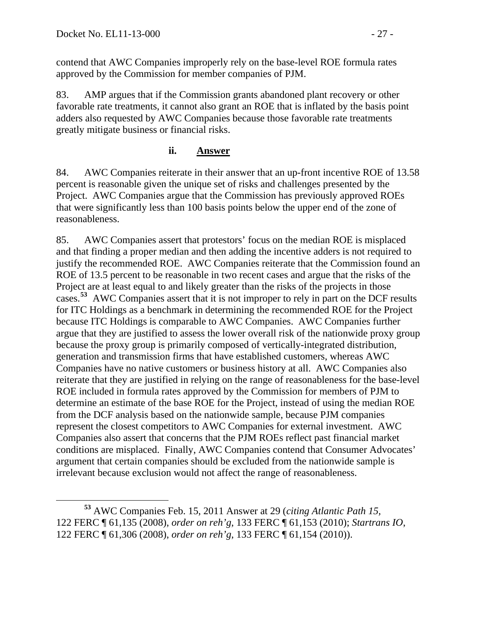contend that AWC Companies improperly rely on the base-level ROE formula rates approved by the Commission for member companies of PJM.

83. AMP argues that if the Commission grants abandoned plant recovery or other favorable rate treatments, it cannot also grant an ROE that is inflated by the basis point adders also requested by AWC Companies because those favorable rate treatments greatly mitigate business or financial risks.

### **ii. Answer**

84. AWC Companies reiterate in their answer that an up-front incentive ROE of 13.58 percent is reasonable given the unique set of risks and challenges presented by the Project. AWC Companies argue that the Commission has previously approved ROEs that were significantly less than 100 basis points below the upper end of the zone of reasonableness.

85. AWC Companies assert that protestors' focus on the median ROE is misplaced and that finding a proper median and then adding the incentive adders is not required to justify the recommended ROE. AWC Companies reiterate that the Commission found an ROE of 13.5 percent to be reasonable in two recent cases and argue that the risks of the Project are at least equal to and likely greater than the risks of the projects in those cases.**[53](#page-26-0)** AWC Companies assert that it is not improper to rely in part on the DCF results for ITC Holdings as a benchmark in determining the recommended ROE for the Project because ITC Holdings is comparable to AWC Companies. AWC Companies further argue that they are justified to assess the lower overall risk of the nationwide proxy group because the proxy group is primarily composed of vertically-integrated distribution, generation and transmission firms that have established customers, whereas AWC Companies have no native customers or business history at all. AWC Companies also reiterate that they are justified in relying on the range of reasonableness for the base-level ROE included in formula rates approved by the Commission for members of PJM to determine an estimate of the base ROE for the Project, instead of using the median ROE from the DCF analysis based on the nationwide sample, because PJM companies represent the closest competitors to AWC Companies for external investment. AWC Companies also assert that concerns that the PJM ROEs reflect past financial market conditions are misplaced. Finally, AWC Companies contend that Consumer Advocates' argument that certain companies should be excluded from the nationwide sample is irrelevant because exclusion would not affect the range of reasonableness.

<span id="page-26-0"></span>**<sup>53</sup>** AWC Companies Feb. 15, 2011 Answer at 29 (*citing Atlantic Path 15,* 122 FERC ¶ 61,135 (2008), *order on reh'g*, 133 FERC ¶ 61,153 (2010); *Startrans IO*, 122 FERC ¶ 61,306 (2008), *order on reh'g*, 133 FERC ¶ 61,154 (2010)).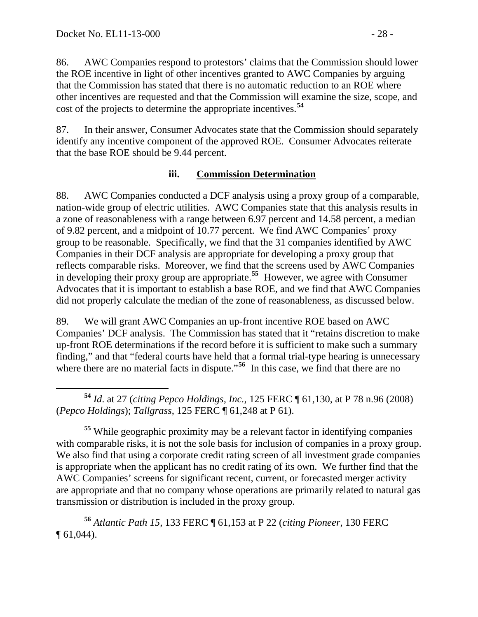86. AWC Companies respond to protestors' claims that the Commission should lower the ROE incentive in light of other incentives granted to AWC Companies by arguing that the Commission has stated that there is no automatic reduction to an ROE where other incentives are requested and that the Commission will examine the size, scope, and cost of the projects to determine the appropriate incentives.**[54](#page-27-0)**

87. In their answer, Consumer Advocates state that the Commission should separately identify any incentive component of the approved ROE. Consumer Advocates reiterate that the base ROE should be 9.44 percent.

### **iii. Commission Determination**

88. AWC Companies conducted a DCF analysis using a proxy group of a comparable, nation-wide group of electric utilities. AWC Companies state that this analysis results in a zone of reasonableness with a range between 6.97 percent and 14.58 percent, a median of 9.82 percent, and a midpoint of 10.77 percent. We find AWC Companies' proxy group to be reasonable. Specifically, we find that the 31 companies identified by AWC Companies in their DCF analysis are appropriate for developing a proxy group that reflects comparable risks. Moreover, we find that the screens used by AWC Companies in developing their proxy group are appropriate.**[55](#page-27-1)** However, we agree with Consumer Advocates that it is important to establish a base ROE, and we find that AWC Companies did not properly calculate the median of the zone of reasonableness, as discussed below.

89. We will grant AWC Companies an up-front incentive ROE based on AWC Companies' DCF analysis. The Commission has stated that it "retains discretion to make up-front ROE determinations if the record before it is sufficient to make such a summary finding," and that "federal courts have held that a formal trial-type hearing is unnecessary where there are no material facts in dispute."<sup>[56](#page-27-2)</sup> In this case, we find that there are no

<span id="page-27-0"></span> **<sup>54</sup>** *Id*. at 27 (*citing Pepco Holdings, Inc.*, 125 FERC ¶ 61,130, at P 78 n.96 (2008) (*Pepco Holdings*); *Tallgrass*, 125 FERC ¶ 61,248 at P 61).

<span id="page-27-1"></span>**<sup>55</sup>** While geographic proximity may be a relevant factor in identifying companies with comparable risks, it is not the sole basis for inclusion of companies in a proxy group. We also find that using a corporate credit rating screen of all investment grade companies is appropriate when the applicant has no credit rating of its own. We further find that the AWC Companies' screens for significant recent, current, or forecasted merger activity are appropriate and that no company whose operations are primarily related to natural gas transmission or distribution is included in the proxy group.

<span id="page-27-2"></span>**<sup>56</sup>** *Atlantic Path 15*, 133 FERC ¶ 61,153 at P 22 (*citing Pioneer*, 130 FERC ¶ 61,044).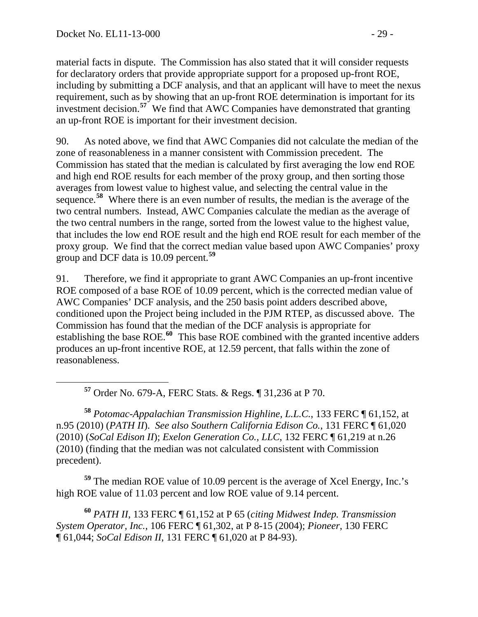material facts in dispute. The Commission has also stated that it will consider requests for declaratory orders that provide appropriate support for a proposed up-front ROE, including by submitting a DCF analysis, and that an applicant will have to meet the nexus requirement, such as by showing that an up-front ROE determination is important for its investment decision.**<sup>57</sup>** We find that AWC Companies have demonstrated that granting an up-front ROE is important for their investment decision.

90. As noted above, we find that AWC Companies did not calculate the median of the zone of reasonableness in a manner consistent with Commission precedent. The Commission has stated that the median is calculated by first averaging the low end ROE and high end ROE results for each member of the proxy group, and then sorting those averages from lowest value to highest value, and selecting the central value in the sequence.**[58](#page-28-0)** Where there is an even number of results, the median is the average of the two central numbers. Instead, AWC Companies calculate the median as the average of the two central numbers in the range, sorted from the lowest value to the highest value, that includes the low end ROE result and the high end ROE result for each member of the proxy group. We find that the correct median value based upon AWC Companies' proxy group and DCF data is 10.09 percent.**[59](#page-28-1)**

91. Therefore, we find it appropriate to grant AWC Companies an up-front incentive ROE composed of a base ROE of 10.09 percent, which is the corrected median value of AWC Companies' DCF analysis, and the 250 basis point adders described above, conditioned upon the Project being included in the PJM RTEP, as discussed above. The Commission has found that the median of the DCF analysis is appropriate for establishing the base ROE.**[60](#page-28-2)** This base ROE combined with the granted incentive adders produces an up-front incentive ROE, at 12.59 percent, that falls within the zone of reasonableness.

**<sup>57</sup>** Order No. 679-A, FERC Stats. & Regs. ¶ 31,236 at P 70.

<span id="page-28-0"></span>**<sup>58</sup>** *Potomac-Appalachian Transmission Highline, L.L.C.*, 133 FERC ¶ 61,152, at n.95 (2010) (*PATH II*). *See also Southern California Edison Co.*, 131 FERC ¶ 61,020 (2010) (*SoCal Edison II*); *Exelon Generation Co., LLC*, 132 FERC ¶ 61,219 at n.26 (2010) (finding that the median was not calculated consistent with Commission precedent).

<span id="page-28-1"></span>**<sup>59</sup>** The median ROE value of 10.09 percent is the average of Xcel Energy, Inc.'s high ROE value of 11.03 percent and low ROE value of 9.14 percent.

<span id="page-28-2"></span>**<sup>60</sup>** *PATH II*, 133 FERC ¶ 61,152 at P 65 (*citing Midwest Indep. Transmission System Operator, Inc.*, 106 FERC ¶ 61,302, at P 8-15 (2004); *Pioneer*, 130 FERC ¶ 61,044; *SoCal Edison II*, 131 FERC ¶ 61,020 at P 84-93).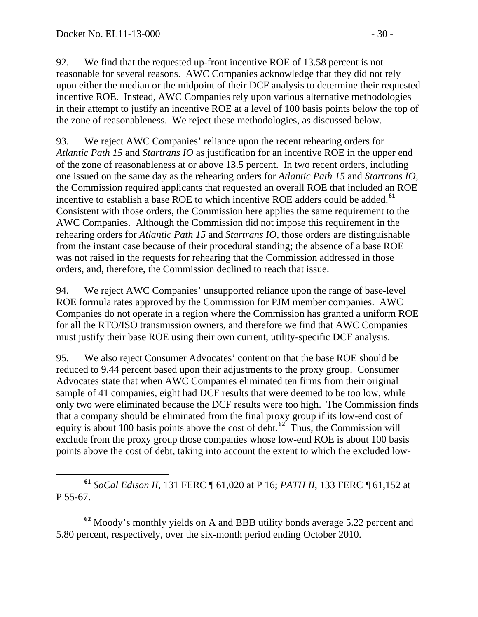92. We find that the requested up-front incentive ROE of 13.58 percent is not reasonable for several reasons. AWC Companies acknowledge that they did not rely upon either the median or the midpoint of their DCF analysis to determine their requested incentive ROE. Instead, AWC Companies rely upon various alternative methodologies in their attempt to justify an incentive ROE at a level of 100 basis points below the top of the zone of reasonableness. We reject these methodologies, as discussed below.

93. We reject AWC Companies' reliance upon the recent rehearing orders for *Atlantic Path 15* and *Startrans IO* as justification for an incentive ROE in the upper end of the zone of reasonableness at or above 13.5 percent. In two recent orders, including one issued on the same day as the rehearing orders for *Atlantic Path 15* and *Startrans IO*, the Commission required applicants that requested an overall ROE that included an ROE incentive to establish a base ROE to which incentive ROE adders could be added.**[61](#page-29-0)** Consistent with those orders, the Commission here applies the same requirement to the AWC Companies. Although the Commission did not impose this requirement in the rehearing orders for *Atlantic Path 15* and *Startrans IO*, those orders are distinguishable from the instant case because of their procedural standing; the absence of a base ROE was not raised in the requests for rehearing that the Commission addressed in those orders, and, therefore, the Commission declined to reach that issue.

94. We reject AWC Companies' unsupported reliance upon the range of base-level ROE formula rates approved by the Commission for PJM member companies. AWC Companies do not operate in a region where the Commission has granted a uniform ROE for all the RTO/ISO transmission owners, and therefore we find that AWC Companies must justify their base ROE using their own current, utility-specific DCF analysis.

95. We also reject Consumer Advocates' contention that the base ROE should be reduced to 9.44 percent based upon their adjustments to the proxy group. Consumer Advocates state that when AWC Companies eliminated ten firms from their original sample of 41 companies, eight had DCF results that were deemed to be too low, while only two were eliminated because the DCF results were too high. The Commission finds that a company should be eliminated from the final proxy group if its low-end cost of equity is about 100 basis points above the cost of debt.**[62](#page-29-1)** Thus, the Commission will exclude from the proxy group those companies whose low-end ROE is about 100 basis points above the cost of debt, taking into account the extent to which the excluded low-

<span id="page-29-1"></span>**<sup>62</sup>** Moody's monthly yields on A and BBB utility bonds average 5.22 percent and 5.80 percent, respectively, over the six-month period ending October 2010.

<span id="page-29-0"></span>**<sup>61</sup>** *SoCal Edison II*, 131 FERC ¶ 61,020 at P 16; *PATH II*, 133 FERC ¶ 61,152 at P 55-67.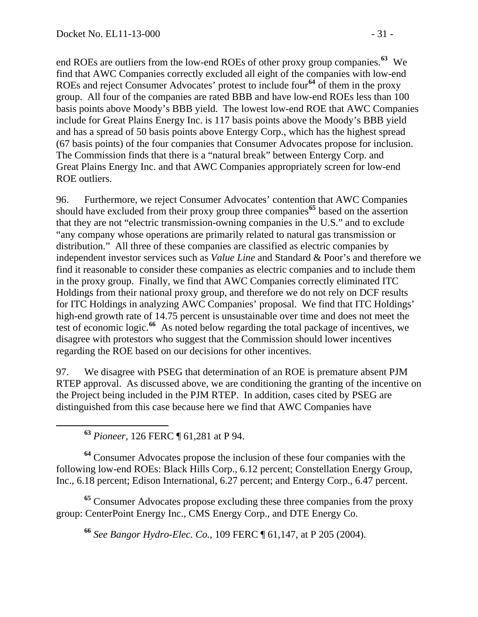end ROEs are outliers from the low-end ROEs of other proxy group companies.**<sup>63</sup>** We find that AWC Companies correctly excluded all eight of the companies with low-end ROEs and reject Consumer Advocates' protest to include four**<sup>64</sup>** of them in the proxy group. All four of the companies are rated BBB and have low-end ROEs less than 100 basis points above Moody's BBB yield. The lowest low-end ROE that AWC Companies include for Great Plains Energy Inc. is 117 basis points above the Moody's BBB yield and has a spread of 50 basis points above Entergy Corp., which has the highest spread (67 basis points) of the four companies that Consumer Advocates propose for inclusion. The Commission finds that there is a "natural break" between Entergy Corp. and Great Plains Energy Inc. and that AWC Companies appropriately screen for low-end ROE outliers.

96. Furthermore, we reject Consumer Advocates' contention that AWC Companies should have excluded from their proxy group three companies**[65](#page-30-0)** based on the assertion that they are not "electric transmission-owning companies in the U.S." and to exclude "any company whose operations are primarily related to natural gas transmission or distribution." All three of these companies are classified as electric companies by independent investor services such as *Value Line* and Standard & Poor's and therefore we find it reasonable to consider these companies as electric companies and to include them in the proxy group. Finally, we find that AWC Companies correctly eliminated ITC Holdings from their national proxy group, and therefore we do not rely on DCF results for ITC Holdings in analyzing AWC Companies' proposal. We find that ITC Holdings' high-end growth rate of 14.75 percent is unsustainable over time and does not meet the test of economic logic.**[66](#page-30-1)** As noted below regarding the total package of incentives, we disagree with protestors who suggest that the Commission should lower incentives regarding the ROE based on our decisions for other incentives.

97. We disagree with PSEG that determination of an ROE is premature absent PJM RTEP approval. As discussed above, we are conditioning the granting of the incentive on the Project being included in the PJM RTEP. In addition, cases cited by PSEG are distinguished from this case because here we find that AWC Companies have

**<sup>63</sup>** *Pioneer,* 126 FERC ¶ 61,281 at P 94.

**<sup>64</sup>** Consumer Advocates propose the inclusion of these four companies with the following low-end ROEs: Black Hills Corp., 6.12 percent; Constellation Energy Group, Inc., 6.18 percent; Edison International, 6.27 percent; and Entergy Corp., 6.47 percent.

<span id="page-30-1"></span><span id="page-30-0"></span>**<sup>65</sup>** Consumer Advocates propose excluding these three companies from the proxy group: CenterPoint Energy Inc., CMS Energy Corp., and DTE Energy Co.

**<sup>66</sup>** *See Bangor Hydro-Elec. Co.,* 109 FERC ¶ 61,147, at P 205 (2004).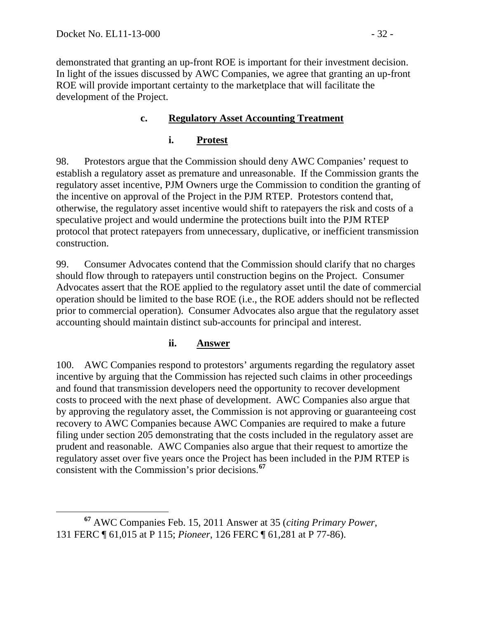demonstrated that granting an up-front ROE is important for their investment decision. In light of the issues discussed by AWC Companies, we agree that granting an up-front ROE will provide important certainty to the marketplace that will facilitate the development of the Project.

### **c. Regulatory Asset Accounting Treatment**

# **i. Protest**

98. Protestors argue that the Commission should deny AWC Companies' request to establish a regulatory asset as premature and unreasonable. If the Commission grants the regulatory asset incentive, PJM Owners urge the Commission to condition the granting of the incentive on approval of the Project in the PJM RTEP. Protestors contend that, otherwise, the regulatory asset incentive would shift to ratepayers the risk and costs of a speculative project and would undermine the protections built into the PJM RTEP protocol that protect ratepayers from unnecessary, duplicative, or inefficient transmission construction.

99. Consumer Advocates contend that the Commission should clarify that no charges should flow through to ratepayers until construction begins on the Project. Consumer Advocates assert that the ROE applied to the regulatory asset until the date of commercial operation should be limited to the base ROE (i.e., the ROE adders should not be reflected prior to commercial operation). Consumer Advocates also argue that the regulatory asset accounting should maintain distinct sub-accounts for principal and interest.

### **ii. Answer**

100. AWC Companies respond to protestors' arguments regarding the regulatory asset incentive by arguing that the Commission has rejected such claims in other proceedings and found that transmission developers need the opportunity to recover development costs to proceed with the next phase of development. AWC Companies also argue that by approving the regulatory asset, the Commission is not approving or guaranteeing cost recovery to AWC Companies because AWC Companies are required to make a future filing under section 205 demonstrating that the costs included in the regulatory asset are prudent and reasonable. AWC Companies also argue that their request to amortize the regulatory asset over five years once the Project has been included in the PJM RTEP is consistent with the Commission's prior decisions.**[67](#page-31-0)**

<span id="page-31-0"></span>**<sup>67</sup>** AWC Companies Feb. 15, 2011 Answer at 35 (*citing Primary Power*, 131 FERC ¶ 61,015 at P 115; *Pioneer*, 126 FERC ¶ 61,281 at P 77-86).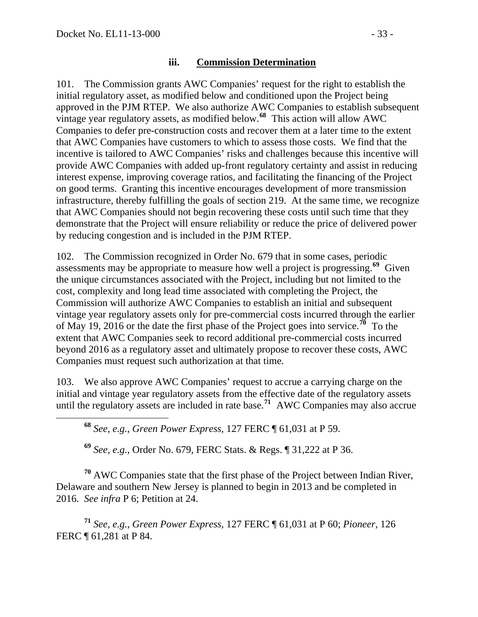#### **iii. Commission Determination**

101. The Commission grants AWC Companies' request for the right to establish the initial regulatory asset, as modified below and conditioned upon the Project being approved in the PJM RTEP. We also authorize AWC Companies to establish subsequent vintage year regulatory assets, as modified below.**[68](#page-32-0)** This action will allow AWC Companies to defer pre-construction costs and recover them at a later time to the extent that AWC Companies have customers to which to assess those costs. We find that the incentive is tailored to AWC Companies' risks and challenges because this incentive will provide AWC Companies with added up-front regulatory certainty and assist in reducing interest expense, improving coverage ratios, and facilitating the financing of the Project on good terms. Granting this incentive encourages development of more transmission infrastructure, thereby fulfilling the goals of section 219. At the same time, we recognize that AWC Companies should not begin recovering these costs until such time that they demonstrate that the Project will ensure reliability or reduce the price of delivered power by reducing congestion and is included in the PJM RTEP.

102. The Commission recognized in Order No. 679 that in some cases, periodic assessments may be appropriate to measure how well a project is progressing.**[69](#page-32-1)** Given the unique circumstances associated with the Project, including but not limited to the cost, complexity and long lead time associated with completing the Project, the Commission will authorize AWC Companies to establish an initial and subsequent vintage year regulatory assets only for pre-commercial costs incurred through the earlier of May 19, 2016 or the date the first phase of the Project goes into service.<sup>[70](#page-32-2)</sup> To the extent that AWC Companies seek to record additional pre-commercial costs incurred beyond 2016 as a regulatory asset and ultimately propose to recover these costs, AWC Companies must request such authorization at that time.

<span id="page-32-0"></span>103. We also approve AWC Companies' request to accrue a carrying charge on the initial and vintage year regulatory assets from the effective date of the regulatory assets until the regulatory assets are included in rate base.<sup>[71](#page-32-3)</sup> AWC Companies may also accrue

**<sup>68</sup>** *See*, *e.g.*, *Green Power Express*, 127 FERC ¶ 61,031 at P 59.

**<sup>69</sup>** *See, e.g.*, Order No. 679, FERC Stats. & Regs. ¶ 31,222 at P 36.

<span id="page-32-2"></span><span id="page-32-1"></span>**<sup>70</sup>** AWC Companies state that the first phase of the Project between Indian River, Delaware and southern New Jersey is planned to begin in 2013 and be completed in 2016. *See infra* P 6; Petition at 24.

<span id="page-32-3"></span>**<sup>71</sup>** *See*, *e.g.*, *Green Power Express*, 127 FERC ¶ 61,031 at P 60; *Pioneer*, 126 FERC ¶ 61,281 at P 84.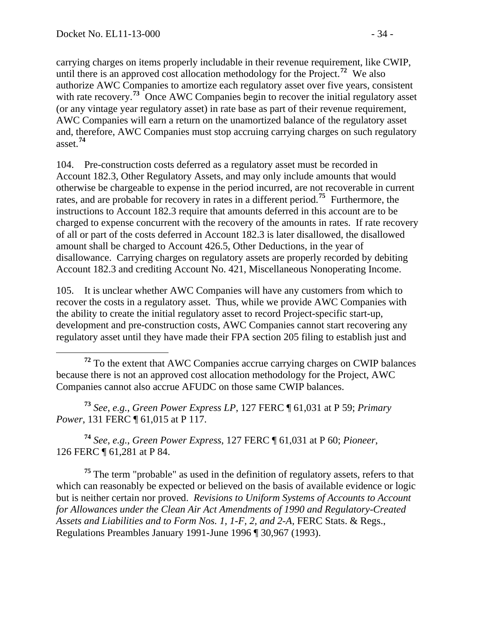carrying charges on items properly includable in their revenue requirement, like CWIP, until there is an approved cost allocation methodology for the Project.**<sup>72</sup>** We also authorize AWC Companies to amortize each regulatory asset over five years, consistent with rate recovery.<sup>73</sup> Once AWC Companies begin to recover the initial regulatory asset (or any vintage year regulatory asset) in rate base as part of their revenue requirement, AWC Companies will earn a return on the unamortized balance of the regulatory asset and, therefore, AWC Companies must stop accruing carrying charges on such regulatory asset.**<sup>74</sup>**

104. Pre-construction costs deferred as a regulatory asset must be recorded in Account 182.3, Other Regulatory Assets, and may only include amounts that would otherwise be chargeable to expense in the period incurred, are not recoverable in current rates, and are probable for recovery in rates in a different period.**[75](#page-33-0)** Furthermore, the instructions to Account 182.3 require that amounts deferred in this account are to be charged to expense concurrent with the recovery of the amounts in rates. If rate recovery of all or part of the costs deferred in Account 182.3 is later disallowed, the disallowed amount shall be charged to Account 426.5, Other Deductions, in the year of disallowance. Carrying charges on regulatory assets are properly recorded by debiting Account 182.3 and crediting Account No. 421, Miscellaneous Nonoperating Income.

105. It is unclear whether AWC Companies will have any customers from which to recover the costs in a regulatory asset. Thus, while we provide AWC Companies with the ability to create the initial regulatory asset to record Project-specific start-up, development and pre-construction costs, AWC Companies cannot start recovering any regulatory asset until they have made their FPA section 205 filing to establish just and

 **<sup>72</sup>** To the extent that AWC Companies accrue carrying charges on CWIP balances because there is not an approved cost allocation methodology for the Project, AWC Companies cannot also accrue AFUDC on those same CWIP balances.

**<sup>73</sup>** *See*, *e.g.*, *Green Power Express LP*, 127 FERC ¶ 61,031 at P 59; *Primary Power*, 131 FERC ¶ 61,015 at P 117.

**<sup>74</sup>** *See*, *e.g.*, *Green Power Express*, 127 FERC ¶ 61,031 at P 60; *Pioneer*, 126 FERC ¶ 61,281 at P 84.

<span id="page-33-0"></span>**<sup>75</sup>** The term "probable" as used in the definition of regulatory assets, refers to that which can reasonably be expected or believed on the basis of available evidence or logic but is neither certain nor proved. *Revisions to Uniform Systems of Accounts to Account for Allowances under the Clean Air Act Amendments of 1990 and Regulatory-Created Assets and Liabilities and to Form Nos. 1, 1-F, 2, and 2-A*, FERC Stats. & Regs., Regulations Preambles January 1991-June 1996 [¶ 30,967](javascript:void(0)) (1993).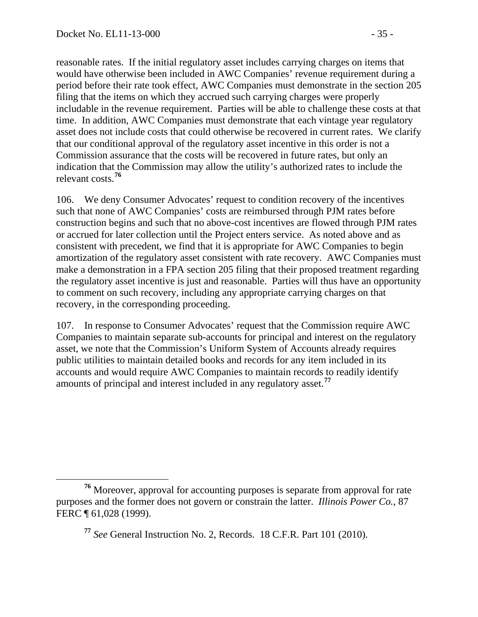reasonable rates. If the initial regulatory asset includes carrying charges on items that would have otherwise been included in AWC Companies' revenue requirement during a period before their rate took effect, AWC Companies must demonstrate in the section 205 filing that the items on which they accrued such carrying charges were properly includable in the revenue requirement. Parties will be able to challenge these costs at that time. In addition, AWC Companies must demonstrate that each vintage year regulatory asset does not include costs that could otherwise be recovered in current rates. We clarify that our conditional approval of the regulatory asset incentive in this order is not a Commission assurance that the costs will be recovered in future rates, but only an indication that the Commission may allow the utility's authorized rates to include the relevant costs.**<sup>76</sup>**

106. We deny Consumer Advocates' request to condition recovery of the incentives such that none of AWC Companies' costs are reimbursed through PJM rates before construction begins and such that no above-cost incentives are flowed through PJM rates or accrued for later collection until the Project enters service. As noted above and as consistent with precedent, we find that it is appropriate for AWC Companies to begin amortization of the regulatory asset consistent with rate recovery. AWC Companies must make a demonstration in a FPA section 205 filing that their proposed treatment regarding the regulatory asset incentive is just and reasonable. Parties will thus have an opportunity to comment on such recovery, including any appropriate carrying charges on that recovery, in the corresponding proceeding.

107. In response to Consumer Advocates' request that the Commission require AWC Companies to maintain separate sub-accounts for principal and interest on the regulatory asset, we note that the Commission's Uniform System of Accounts already requires public utilities to maintain detailed books and records for any item included in its accounts and would require AWC Companies to maintain records to readily identify amounts of principal and interest included in any regulatory asset.**[77](#page-34-0)**

<span id="page-34-0"></span>**<sup>76</sup>** Moreover, approval for accounting purposes is separate from approval for rate purposes and the former does not govern or constrain the latter. *Illinois Power Co.*, 87 FERC ¶ 61,028 (1999).

**<sup>77</sup>** *See* General Instruction No. 2, Records. 18 C.F.R. Part 101 (2010).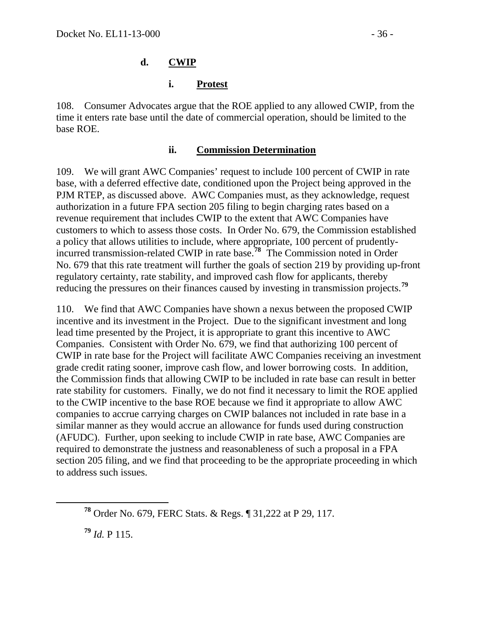### **d. CWIP**

#### **i. Protest**

108. Consumer Advocates argue that the ROE applied to any allowed CWIP, from the time it enters rate base until the date of commercial operation, should be limited to the base ROE.

#### **ii. Commission Determination**

109. We will grant AWC Companies' request to include 100 percent of CWIP in rate base, with a deferred effective date, conditioned upon the Project being approved in the PJM RTEP, as discussed above. AWC Companies must, as they acknowledge, request authorization in a future FPA section 205 filing to begin charging rates based on a revenue requirement that includes CWIP to the extent that AWC Companies have customers to which to assess those costs. In Order No. 679, the Commission established a policy that allows utilities to include, where appropriate, 100 percent of prudentlyincurred transmission-related CWIP in rate base.**[78](#page-35-0)** The Commission noted in Order No. 679 that this rate treatment will further the goals of section 219 by providing up-front regulatory certainty, rate stability, and improved cash flow for applicants, thereby reducing the pressures on their finances caused by investing in transmission projects.**[79](#page-35-1)**

110. We find that AWC Companies have shown a nexus between the proposed CWIP incentive and its investment in the Project. Due to the significant investment and long lead time presented by the Project, it is appropriate to grant this incentive to AWC Companies. Consistent with Order No. 679, we find that authorizing 100 percent of CWIP in rate base for the Project will facilitate AWC Companies receiving an investment grade credit rating sooner, improve cash flow, and lower borrowing costs. In addition, the Commission finds that allowing CWIP to be included in rate base can result in better rate stability for customers. Finally, we do not find it necessary to limit the ROE applied to the CWIP incentive to the base ROE because we find it appropriate to allow AWC companies to accrue carrying charges on CWIP balances not included in rate base in a similar manner as they would accrue an allowance for funds used during construction (AFUDC). Further, upon seeking to include CWIP in rate base, AWC Companies are required to demonstrate the justness and reasonableness of such a proposal in a FPA section 205 filing, and we find that proceeding to be the appropriate proceeding in which to address such issues.

<span id="page-35-1"></span>**<sup>79</sup>** *Id.* P 115.

<span id="page-35-0"></span>**<sup>78</sup>** Order No. 679, FERC Stats. & Regs. ¶ 31,222 at P 29, 117.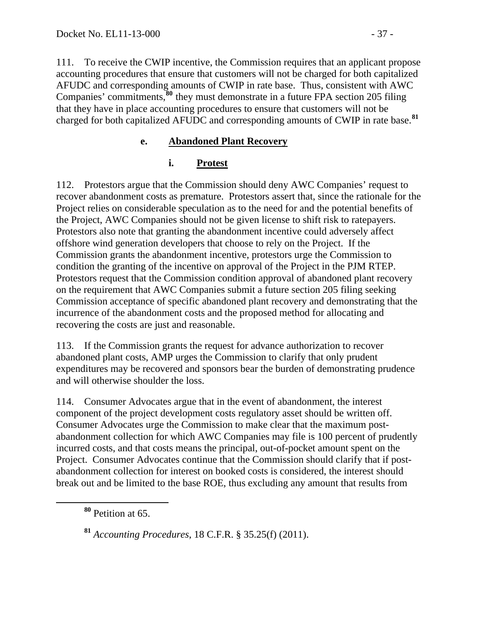111. To receive the CWIP incentive, the Commission requires that an applicant propose accounting procedures that ensure that customers will not be charged for both capitalized AFUDC and corresponding amounts of CWIP in rate base. Thus, consistent with AWC Companies' commitments,**[80](#page-36-0)** they must demonstrate in a future FPA section 205 filing that they have in place accounting procedures to ensure that customers will not be charged for both capitalized AFUDC and corresponding amounts of CWIP in rate base.**[81](#page-36-1)**

### **e. Abandoned Plant Recovery**

### **i. Protest**

112. Protestors argue that the Commission should deny AWC Companies' request to recover abandonment costs as premature. Protestors assert that, since the rationale for the Project relies on considerable speculation as to the need for and the potential benefits of the Project, AWC Companies should not be given license to shift risk to ratepayers. Protestors also note that granting the abandonment incentive could adversely affect offshore wind generation developers that choose to rely on the Project. If the Commission grants the abandonment incentive, protestors urge the Commission to condition the granting of the incentive on approval of the Project in the PJM RTEP. Protestors request that the Commission condition approval of abandoned plant recovery on the requirement that AWC Companies submit a future section 205 filing seeking Commission acceptance of specific abandoned plant recovery and demonstrating that the incurrence of the abandonment costs and the proposed method for allocating and recovering the costs are just and reasonable.

113. If the Commission grants the request for advance authorization to recover abandoned plant costs, AMP urges the Commission to clarify that only prudent expenditures may be recovered and sponsors bear the burden of demonstrating prudence and will otherwise shoulder the loss.

114. Consumer Advocates argue that in the event of abandonment, the interest component of the project development costs regulatory asset should be written off. Consumer Advocates urge the Commission to make clear that the maximum postabandonment collection for which AWC Companies may file is 100 percent of prudently incurred costs, and that costs means the principal, out-of-pocket amount spent on the Project. Consumer Advocates continue that the Commission should clarify that if postabandonment collection for interest on booked costs is considered, the interest should break out and be limited to the base ROE, thus excluding any amount that results from

<span id="page-36-0"></span>**<sup>80</sup>** Petition at 65.

<span id="page-36-1"></span>**<sup>81</sup>** *Accounting Procedures*, 18 C.F.R. § 35.25(f) (2011).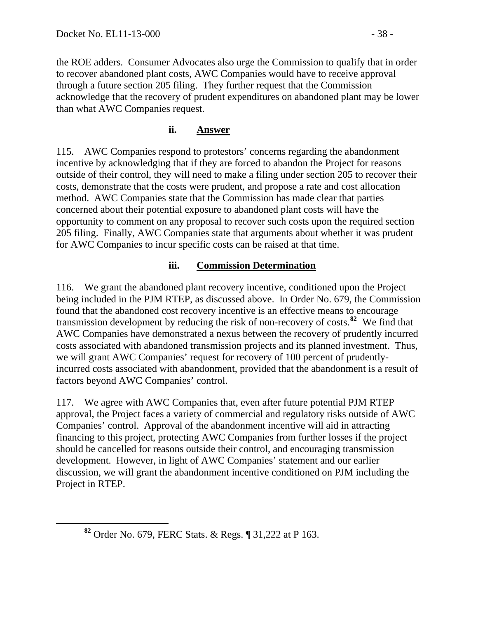the ROE adders. Consumer Advocates also urge the Commission to qualify that in order to recover abandoned plant costs, AWC Companies would have to receive approval through a future section 205 filing. They further request that the Commission acknowledge that the recovery of prudent expenditures on abandoned plant may be lower than what AWC Companies request.

### **ii. Answer**

115. AWC Companies respond to protestors' concerns regarding the abandonment incentive by acknowledging that if they are forced to abandon the Project for reasons outside of their control, they will need to make a filing under section 205 to recover their costs, demonstrate that the costs were prudent, and propose a rate and cost allocation method. AWC Companies state that the Commission has made clear that parties concerned about their potential exposure to abandoned plant costs will have the opportunity to comment on any proposal to recover such costs upon the required section 205 filing. Finally, AWC Companies state that arguments about whether it was prudent for AWC Companies to incur specific costs can be raised at that time.

### **iii. Commission Determination**

116. We grant the abandoned plant recovery incentive, conditioned upon the Project being included in the PJM RTEP, as discussed above. In Order No. 679, the Commission found that the abandoned cost recovery incentive is an effective means to encourage transmission development by reducing the risk of non-recovery of costs.**[82](#page-37-0)** We find that AWC Companies have demonstrated a nexus between the recovery of prudently incurred costs associated with abandoned transmission projects and its planned investment. Thus, we will grant AWC Companies' request for recovery of 100 percent of prudentlyincurred costs associated with abandonment, provided that the abandonment is a result of factors beyond AWC Companies' control.

117. We agree with AWC Companies that, even after future potential PJM RTEP approval, the Project faces a variety of commercial and regulatory risks outside of AWC Companies' control. Approval of the abandonment incentive will aid in attracting financing to this project, protecting AWC Companies from further losses if the project should be cancelled for reasons outside their control, and encouraging transmission development. However, in light of AWC Companies' statement and our earlier discussion, we will grant the abandonment incentive conditioned on PJM including the Project in RTEP.

<span id="page-37-0"></span>**<sup>82</sup>** Order No. 679, FERC Stats. & Regs. ¶ 31,222 at P 163.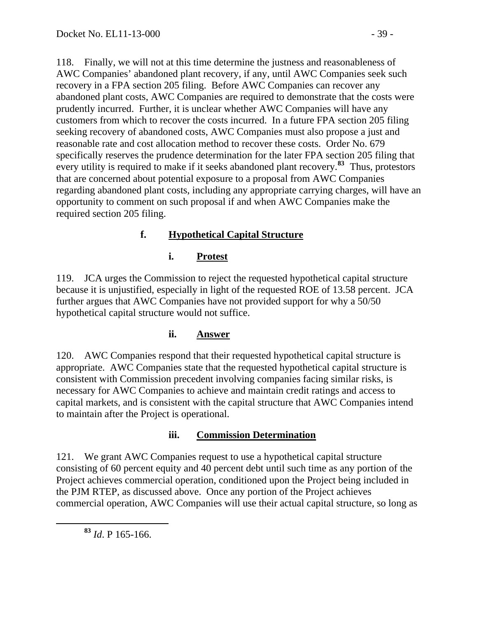118. Finally, we will not at this time determine the justness and reasonableness of AWC Companies' abandoned plant recovery, if any, until AWC Companies seek such recovery in a FPA section 205 filing. Before AWC Companies can recover any abandoned plant costs, AWC Companies are required to demonstrate that the costs were prudently incurred. Further, it is unclear whether AWC Companies will have any customers from which to recover the costs incurred. In a future FPA section 205 filing seeking recovery of abandoned costs, AWC Companies must also propose a just and reasonable rate and cost allocation method to recover these costs. Order No. 679 specifically reserves the prudence determination for the later FPA section 205 filing that every utility is required to make if it seeks abandoned plant recovery.**[83](#page-38-0)** Thus, protestors that are concerned about potential exposure to a proposal from AWC Companies regarding abandoned plant costs, including any appropriate carrying charges, will have an opportunity to comment on such proposal if and when AWC Companies make the required section 205 filing.

# **f. Hypothetical Capital Structure**

## **i. Protest**

119. JCA urges the Commission to reject the requested hypothetical capital structure because it is unjustified, especially in light of the requested ROE of 13.58 percent. JCA further argues that AWC Companies have not provided support for why a 50/50 hypothetical capital structure would not suffice.

# **ii. Answer**

120. AWC Companies respond that their requested hypothetical capital structure is appropriate. AWC Companies state that the requested hypothetical capital structure is consistent with Commission precedent involving companies facing similar risks, is necessary for AWC Companies to achieve and maintain credit ratings and access to capital markets, and is consistent with the capital structure that AWC Companies intend to maintain after the Project is operational.

# **iii. Commission Determination**

121. We grant AWC Companies request to use a hypothetical capital structure consisting of 60 percent equity and 40 percent debt until such time as any portion of the Project achieves commercial operation, conditioned upon the Project being included in the PJM RTEP, as discussed above. Once any portion of the Project achieves commercial operation, AWC Companies will use their actual capital structure, so long as

<span id="page-38-0"></span>**<sup>83</sup>** *Id*. P 165-166.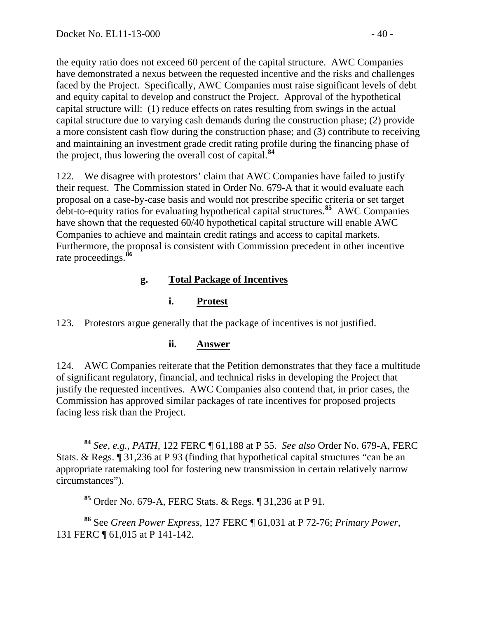the equity ratio does not exceed 60 percent of the capital structure. AWC Companies have demonstrated a nexus between the requested incentive and the risks and challenges faced by the Project. Specifically, AWC Companies must raise significant levels of debt and equity capital to develop and construct the Project. Approval of the hypothetical capital structure will: (1) reduce effects on rates resulting from swings in the actual capital structure due to varying cash demands during the construction phase; (2) provide a more consistent cash flow during the construction phase; and (3) contribute to receiving and maintaining an investment grade credit rating profile during the financing phase of the project, thus lowering the overall cost of capital.**<sup>84</sup>**

122. We disagree with protestors' claim that AWC Companies have failed to justify their request. The Commission stated in Order No. 679-A that it would evaluate each proposal on a case-by-case basis and would not prescribe specific criteria or set target debt-to-equity ratios for evaluating hypothetical capital structures.**[85](#page-39-0)** AWC Companies have shown that the requested 60/40 hypothetical capital structure will enable AWC Companies to achieve and maintain credit ratings and access to capital markets. Furthermore, the proposal is consistent with Commission precedent in other incentive rate proceedings.**[86](#page-39-1)**

## **g. Total Package of Incentives**

## **i. Protest**

123. Protestors argue generally that the package of incentives is not justified.

### **ii. Answer**

124. AWC Companies reiterate that the Petition demonstrates that they face a multitude of significant regulatory, financial, and technical risks in developing the Project that justify the requested incentives. AWC Companies also contend that, in prior cases, the Commission has approved similar packages of rate incentives for proposed projects facing less risk than the Project.

**<sup>84</sup>** *See, e.g., PATH*, 122 FERC ¶ 61,188 at P 55. *See also* Order No. 679-A, FERC Stats. & Regs. ¶ 31,236 at P 93 (finding that hypothetical capital structures "can be an appropriate ratemaking tool for fostering new transmission in certain relatively narrow circumstances").

**<sup>85</sup>** Order No. 679-A, FERC Stats. & Regs. ¶ 31,236 at P 91.

<span id="page-39-1"></span><span id="page-39-0"></span>**<sup>86</sup>** See *Green Power Express*, 127 FERC ¶ 61,031 at P 72-76; *Primary Power*, 131 FERC ¶ 61,015 at P 141-142.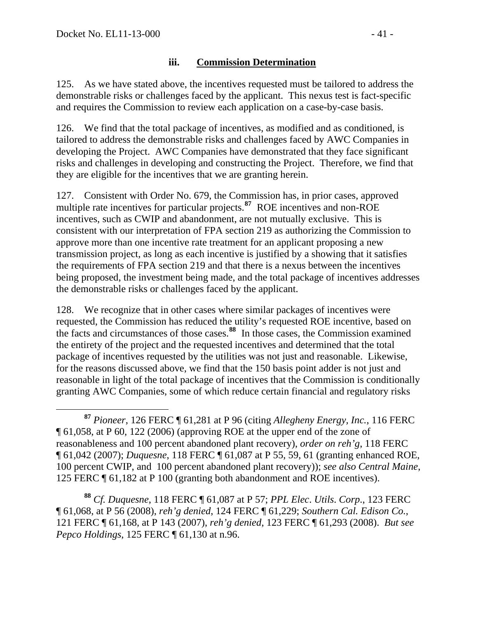#### **iii. Commission Determination**

125. As we have stated above, the incentives requested must be tailored to address the demonstrable risks or challenges faced by the applicant. This nexus test is fact-specific and requires the Commission to review each application on a case-by-case basis.

126. We find that the total package of incentives, as modified and as conditioned, is tailored to address the demonstrable risks and challenges faced by AWC Companies in developing the Project. AWC Companies have demonstrated that they face significant risks and challenges in developing and constructing the Project. Therefore, we find that they are eligible for the incentives that we are granting herein.

127. Consistent with Order No. 679, the Commission has, in prior cases, approved multiple rate incentives for particular projects.<sup>[87](#page-40-0)</sup> ROE incentives and non-ROE incentives, such as CWIP and abandonment, are not mutually exclusive. This is consistent with our interpretation of FPA section 219 as authorizing the Commission to approve more than one incentive rate treatment for an applicant proposing a new transmission project, as long as each incentive is justified by a showing that it satisfies the requirements of FPA section 219 and that there is a nexus between the incentives being proposed, the investment being made, and the total package of incentives addresses the demonstrable risks or challenges faced by the applicant.

128. We recognize that in other cases where similar packages of incentives were requested, the Commission has reduced the utility's requested ROE incentive, based on the facts and circumstances of those cases.**[88](#page-40-1)** In those cases, the Commission examined the entirety of the project and the requested incentives and determined that the total package of incentives requested by the utilities was not just and reasonable. Likewise, for the reasons discussed above, we find that the 150 basis point adder is not just and reasonable in light of the total package of incentives that the Commission is conditionally granting AWC Companies, some of which reduce certain financial and regulatory risks

<span id="page-40-1"></span>**<sup>88</sup>** *Cf. Duquesne*, 118 FERC ¶ 61,087 at P 57; *PPL Elec*. *Utils*. *Corp*., 123 FERC ¶ 61,068, at P 56 (2008), *reh'g denied*, 124 FERC ¶ 61,229; *Southern Cal. Edison Co.*, 121 FERC ¶ 61,168, at P 143 (2007), *reh'g denied*, 123 FERC ¶ 61,293 (2008). *But see Pepco Holdings*, 125 FERC ¶ 61,130 at n.96.

<span id="page-40-0"></span>**<sup>87</sup>** *Pioneer*, 126 FERC ¶ 61,281 at P 96 (citing *Allegheny Energy, Inc.*, 116 FERC ¶ 61,058, at P 60, 122 (2006) (approving ROE at the upper end of the zone of reasonableness and 100 percent abandoned plant recovery), *order on reh'g*, 118 FERC ¶ 61,042 (2007); *Duquesne*, 118 FERC ¶ 61,087 at P 55, 59, 61 (granting enhanced ROE, 100 percent CWIP, and 100 percent abandoned plant recovery)); *see also Central Maine*, 125 FERC ¶ 61,182 at P 100 (granting both abandonment and ROE incentives).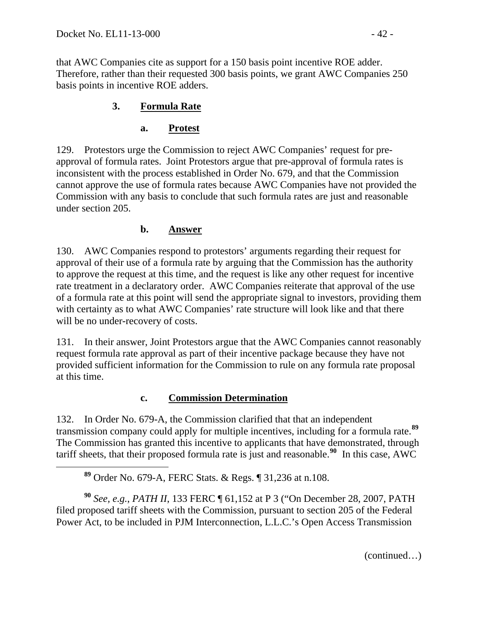<span id="page-41-0"></span> $\overline{a}$ 

that AWC Companies cite as support for a 150 basis point incentive ROE adder. Therefore, rather than their requested 300 basis points, we grant AWC Companies 250 basis points in incentive ROE adders.

## **3. Formula Rate**

### **a. Protest**

129. Protestors urge the Commission to reject AWC Companies' request for preapproval of formula rates. Joint Protestors argue that pre-approval of formula rates is inconsistent with the process established in Order No. 679, and that the Commission cannot approve the use of formula rates because AWC Companies have not provided the Commission with any basis to conclude that such formula rates are just and reasonable under section 205.

### **b. Answer**

130. AWC Companies respond to protestors' arguments regarding their request for approval of their use of a formula rate by arguing that the Commission has the authority to approve the request at this time, and the request is like any other request for incentive rate treatment in a declaratory order. AWC Companies reiterate that approval of the use of a formula rate at this point will send the appropriate signal to investors, providing them with certainty as to what AWC Companies' rate structure will look like and that there will be no under-recovery of costs.

131. In their answer, Joint Protestors argue that the AWC Companies cannot reasonably request formula rate approval as part of their incentive package because they have not provided sufficient information for the Commission to rule on any formula rate proposal at this time.

### **c. Commission Determination**

132. In Order No. 679-A, the Commission clarified that that an independent transmission company could apply for multiple incentives, including for a formula rate.**[89](#page-41-0)** The Commission has granted this incentive to applicants that have demonstrated, through tariff sheets, that their proposed formula rate is just and reasonable.**[90](#page-41-1)** In this case, AWC

<span id="page-41-1"></span>**<sup>90</sup>** *See, e.g.*, *PATH II*, 133 FERC ¶ 61,152 at P 3 ("On December 28, 2007, PATH filed proposed tariff sheets with the Commission, pursuant to section 205 of the Federal Power Act, to be included in PJM Interconnection, L.L.C.'s Open Access Transmission

(continued…)

**<sup>89</sup>** Order No. 679-A, FERC Stats. & Regs. ¶ 31,236 at n.108.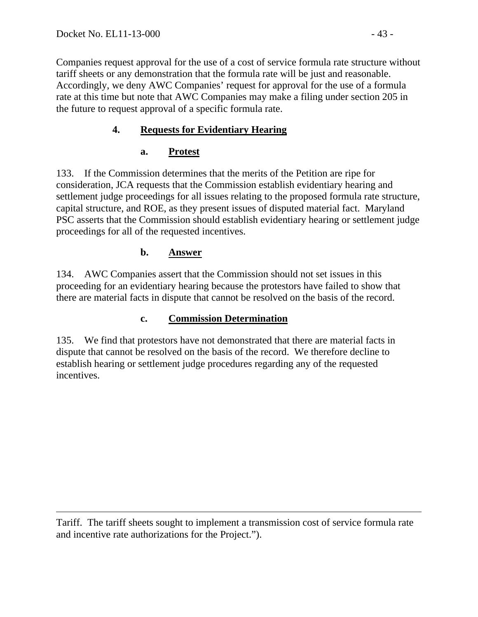Companies request approval for the use of a cost of service formula rate structure without tariff sheets or any demonstration that the formula rate will be just and reasonable. Accordingly, we deny AWC Companies' request for approval for the use of a formula rate at this time but note that AWC Companies may make a filing under section 205 in the future to request approval of a specific formula rate.

# **4. Requests for Evidentiary Hearing**

## **a. Protest**

133. If the Commission determines that the merits of the Petition are ripe for consideration, JCA requests that the Commission establish evidentiary hearing and settlement judge proceedings for all issues relating to the proposed formula rate structure, capital structure, and ROE, as they present issues of disputed material fact. Maryland PSC asserts that the Commission should establish evidentiary hearing or settlement judge proceedings for all of the requested incentives.

### **b. Answer**

134. AWC Companies assert that the Commission should not set issues in this proceeding for an evidentiary hearing because the protestors have failed to show that there are material facts in dispute that cannot be resolved on the basis of the record.

### **c. Commission Determination**

135. We find that protestors have not demonstrated that there are material facts in dispute that cannot be resolved on the basis of the record. We therefore decline to establish hearing or settlement judge procedures regarding any of the requested incentives.

 $\overline{a}$ Tariff. The tariff sheets sought to implement a transmission cost of service formula rate and incentive rate authorizations for the Project.").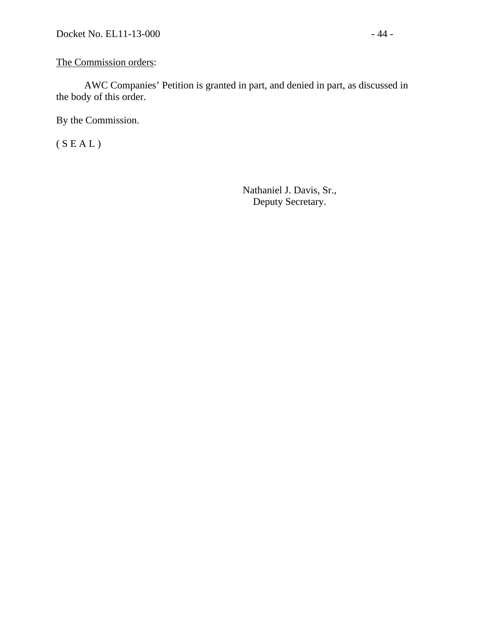The Commission orders:

 AWC Companies' Petition is granted in part, and denied in part, as discussed in the body of this order.

By the Commission.

 $(S E A L)$ 

Nathaniel J. Davis, Sr., Deputy Secretary.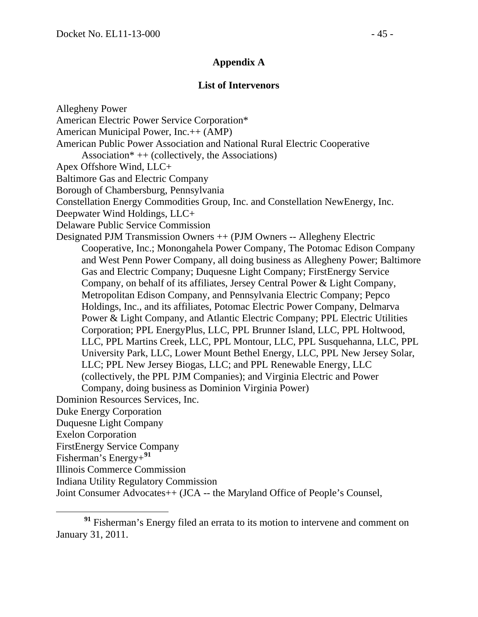#### **Appendix A**

#### **List of Intervenors**

Allegheny Power American Electric Power Service Corporation\* American Municipal Power, Inc.++ (AMP) American Public Power Association and National Rural Electric Cooperative Association\*  $++$  (collectively, the Associations) Apex Offshore Wind, LLC+ Baltimore Gas and Electric Company Borough of Chambersburg, Pennsylvania Constellation Energy Commodities Group, Inc. and Constellation NewEnergy, Inc. Deepwater Wind Holdings, LLC+ Delaware Public Service Commission Designated PJM Transmission Owners ++ (PJM Owners -- Allegheny Electric Cooperative, Inc.; Monongahela Power Company, The Potomac Edison Company and West Penn Power Company, all doing business as Allegheny Power; Baltimore Gas and Electric Company; Duquesne Light Company; FirstEnergy Service Company, on behalf of its affiliates, Jersey Central Power & Light Company, Metropolitan Edison Company, and Pennsylvania Electric Company; Pepco Holdings, Inc., and its affiliates, Potomac Electric Power Company, Delmarva Power & Light Company, and Atlantic Electric Company; PPL Electric Utilities Corporation; PPL EnergyPlus, LLC, PPL Brunner Island, LLC, PPL Holtwood, LLC, PPL Martins Creek, LLC, PPL Montour, LLC, PPL Susquehanna, LLC, PPL University Park, LLC, Lower Mount Bethel Energy, LLC, PPL New Jersey Solar, LLC; PPL New Jersey Biogas, LLC; and PPL Renewable Energy, LLC (collectively, the PPL PJM Companies); and Virginia Electric and Power Company, doing business as Dominion Virginia Power) Dominion Resources Services, Inc. Duke Energy Corporation Duquesne Light Company Exelon Corporation FirstEnergy Service Company Fisherman's Energy+**[91](#page-44-0)** Illinois Commerce Commission Indiana Utility Regulatory Commission Joint Consumer Advocates++ (JCA -- the Maryland Office of People's Counsel,

<span id="page-44-0"></span>**<sup>91</sup>** Fisherman's Energy filed an errata to its motion to intervene and comment on January 31, 2011.